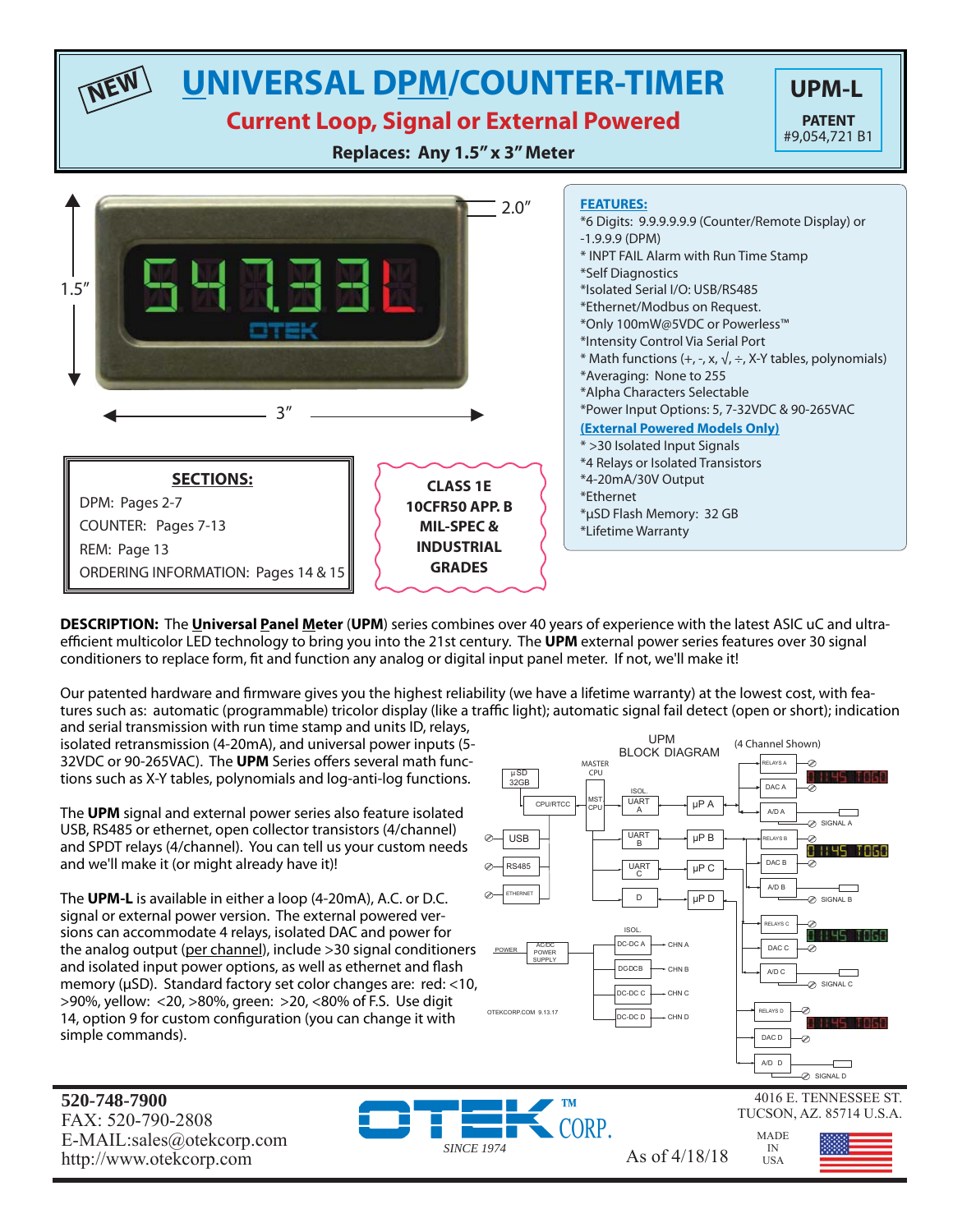### **UNIVERSAL DPM/COUNTER-TIMER** UPM-L **PATENT**

### **Current Loop, Signal or External Powered**

**Replaces: Any 1.5" x 3" Meter**



**DESCRIPTION:** The **Universal Panel Meter** (**UPM**) series combines over 40 years of experience with the latest ASIC uC and ultraefficient multicolor LED technology to bring you into the 21st century. The UPM external power series features over 30 signal conditioners to replace form, fit and function any analog or digital input panel meter. If not, we'll make it!

Our patented hardware and firmware gives you the highest reliability (we have a lifetime warranty) at the lowest cost, with features such as: automatic (programmable) tricolor display (like a traffic light); automatic signal fail detect (open or short); indication and serial transmission with run time stamp and units ID, relays,

*SINCE 1974*

isolated retransmission (4-20mA), and universal power inputs (5- 32VDC or 90-265VAC). The UPM Series offers several math functions such as X-Y tables, polynomials and log-anti-log functions.

The **UPM** signal and external power series also feature isolated USB, RS485 or ethernet, open collector transistors (4/channel) and SPDT relays (4/channel). You can tell us your custom needs and we'll make it (or might already have it)!

The **UPM-L** is available in either a loop (4-20mA), A.C. or D.C. signal or external power version. The external powered versions can accommodate 4 relays, isolated DAC and power for the analog output (per channel), include >30 signal conditioners and isolated input power options, as well as ethernet and flash memory (μSD). Standard factory set color changes are: red: <10, >90%, yellow: <20, >80%, green: >20, <80% of F.S. Use digit 14, option 9 for custom configuration (you can change it with simple commands).



**520-748-7900** FAX: 520-790-2808 E-MAIL:sales@otekcorp.com http://www.otekcorp.com As of  $4/18/18$ 

**NEW**

MADE IN USA



#9,054,721 B1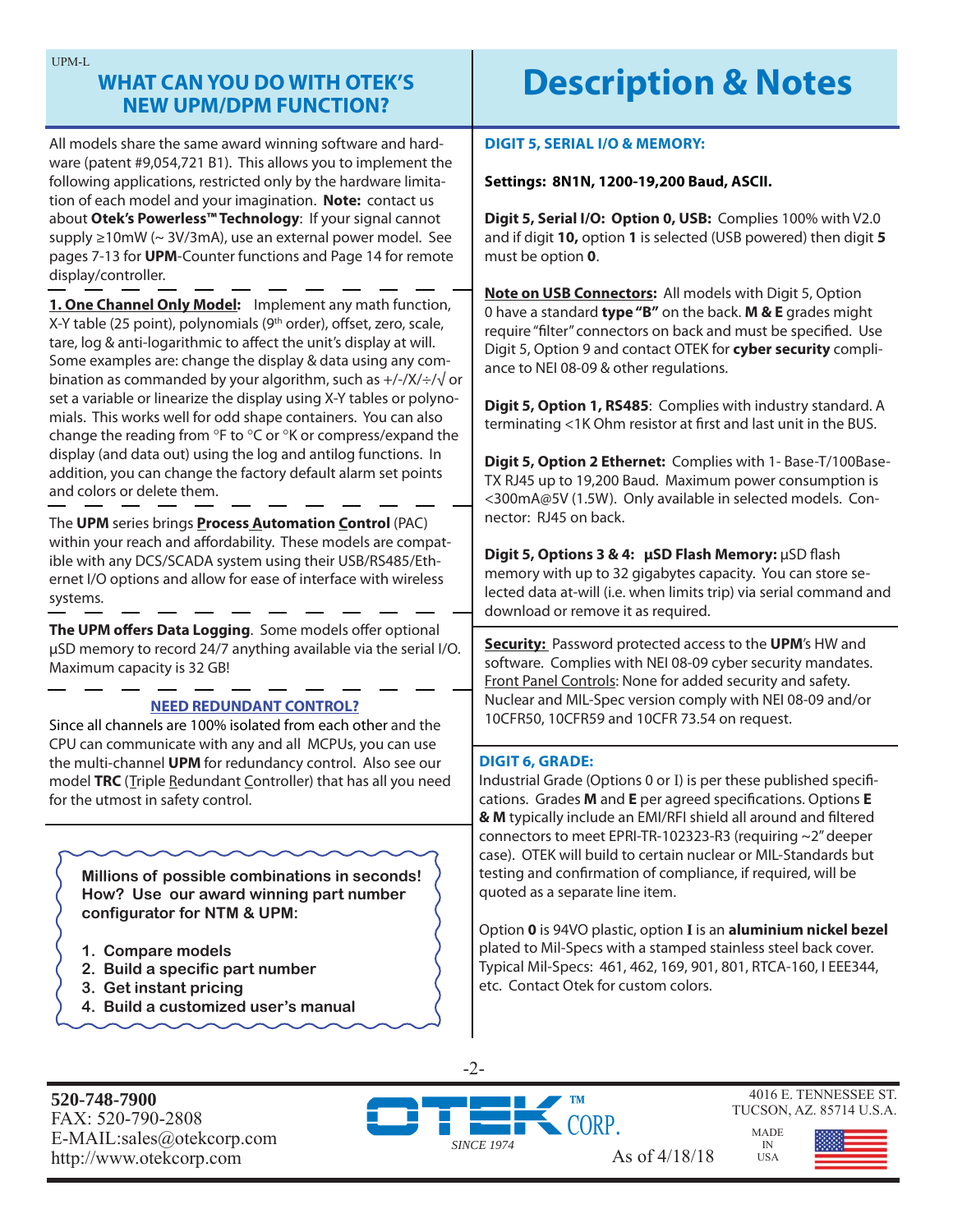| UPM-L<br><b>WHAT CAN YOU DO WITH OTEK'S</b><br><b>NEW UPM/DPM FUNCTION?</b>                                                                                                                                                                                                                                                                                                                                                                                                                                                                                          | <b>Description &amp; Notes</b>                                                                                                                                                                                                                                                                     |  |
|----------------------------------------------------------------------------------------------------------------------------------------------------------------------------------------------------------------------------------------------------------------------------------------------------------------------------------------------------------------------------------------------------------------------------------------------------------------------------------------------------------------------------------------------------------------------|----------------------------------------------------------------------------------------------------------------------------------------------------------------------------------------------------------------------------------------------------------------------------------------------------|--|
| All models share the same award winning software and hard-<br>ware (patent #9,054,721 B1). This allows you to implement the<br>following applications, restricted only by the hardware limita-                                                                                                                                                                                                                                                                                                                                                                       | <b>DIGIT 5, SERIAL I/O &amp; MEMORY:</b><br>Settings: 8N1N, 1200-19,200 Baud, ASCII.                                                                                                                                                                                                               |  |
| tion of each model and your imagination. Note: contact us<br>about Otek's Powerless™ Technology: If your signal cannot<br>supply ≥10mW (~ 3V/3mA), use an external power model. See<br>pages 7-13 for UPM-Counter functions and Page 14 for remote<br>display/controller.                                                                                                                                                                                                                                                                                            | Digit 5, Serial I/O: Option 0, USB: Complies 100% with V2.0<br>and if digit 10, option 1 is selected (USB powered) then digit 5<br>must be option 0.                                                                                                                                               |  |
| 1. One Channel Only Model: Implement any math function,<br>X-Y table (25 point), polynomials (9 <sup>th</sup> order), offset, zero, scale,<br>tare, log & anti-logarithmic to affect the unit's display at will.<br>Some examples are: change the display & data using any com-<br>bination as commanded by your algorithm, such as $+/-/X/}/\sqrt{\sigma}$<br>set a variable or linearize the display using X-Y tables or polyno-<br>mials. This works well for odd shape containers. You can also<br>change the reading from °F to °C or °K or compress/expand the | Note on USB Connectors: All models with Digit 5, Option<br>0 have a standard type "B" on the back. M & E grades might<br>require "filter" connectors on back and must be specified. Use<br>Digit 5, Option 9 and contact OTEK for cyber security compli-<br>ance to NEI 08-09 & other regulations. |  |
|                                                                                                                                                                                                                                                                                                                                                                                                                                                                                                                                                                      | Digit 5, Option 1, RS485: Complies with industry standard. A<br>terminating <1K Ohm resistor at first and last unit in the BUS.                                                                                                                                                                    |  |
| display (and data out) using the log and antilog functions. In<br>addition, you can change the factory default alarm set points<br>and colors or delete them.                                                                                                                                                                                                                                                                                                                                                                                                        | Digit 5, Option 2 Ethernet: Complies with 1- Base-T/100Base-<br>TX RJ45 up to 19,200 Baud. Maximum power consumption is<br><300mA@5V (1.5W). Only available in selected models. Con-                                                                                                               |  |
| The UPM series brings Process Automation Control (PAC)<br>within your reach and affordability. These models are compat-<br>ible with any DCS/SCADA system using their USB/RS485/Eth-<br>ernet I/O options and allow for ease of interface with wireless<br>systems.                                                                                                                                                                                                                                                                                                  | nector: RJ45 on back.<br>Digit 5, Options 3 & 4: µSD Flash Memory: µSD flash<br>memory with up to 32 gigabytes capacity. You can store se-<br>lected data at-will (i.e. when limits trip) via serial command and<br>download or remove it as required.                                             |  |
| The UPM offers Data Logging. Some models offer optional<br>µSD memory to record 24/7 anything available via the serial I/O.<br>Maximum capacity is 32 GB!                                                                                                                                                                                                                                                                                                                                                                                                            | <b>Security:</b> Password protected access to the UPM's HW and<br>software. Complies with NEI 08-09 cyber security mandates.<br>Front Panel Controls: None for added security and safety.                                                                                                          |  |
| <b>NEED REDUNDANT CONTROL?</b><br>Since all channels are 100% isolated from each other and the<br>CPU can communicate with any and all MCPUs, you can use                                                                                                                                                                                                                                                                                                                                                                                                            | Nuclear and MIL-Spec version comply with NEI 08-09 and/or<br>10CFR50, 10CFR59 and 10CFR 73.54 on request.                                                                                                                                                                                          |  |
| the multi-channel UPM for redundancy control. Also see our<br>model TRC (Triple Redundant Controller) that has all you need<br>for the utmost in safety control.                                                                                                                                                                                                                                                                                                                                                                                                     | <b>DIGIT 6, GRADE:</b><br>Industrial Grade (Options 0 or I) is per these published specifi-<br>cations. Grades M and E per agreed specifications. Options E<br>& M typically include an EMI/RFI shield all around and filtered<br>connectors to meet EPRI-TR-102323-R3 (requiring ~2" deeper       |  |
| Millions of possible combinations in seconds!<br>How? Use our award winning part number<br>configurator for NTM & UPM:                                                                                                                                                                                                                                                                                                                                                                                                                                               | case). OTEK will build to certain nuclear or MIL-Standards but<br>testing and confirmation of compliance, if required, will be<br>quoted as a separate line item.                                                                                                                                  |  |
| 1. Compare models<br>2. Build a specific part number<br>3. Get instant pricing<br>4. Build a customized user's manual                                                                                                                                                                                                                                                                                                                                                                                                                                                | Option 0 is 94VO plastic, option I is an aluminium nickel bezel<br>plated to Mil-Specs with a stamped stainless steel back cover.<br>Typical Mil-Specs: 461, 462, 169, 901, 801, RTCA-160, I EEE344,<br>etc. Contact Otek for custom colors.                                                       |  |
| 520-748-7900                                                                                                                                                                                                                                                                                                                                                                                                                                                                                                                                                         | $-2-$<br>4016 E. TENNESSEE ST<br><b>TM</b>                                                                                                                                                                                                                                                         |  |

FAX: 520-790-2808 E-MAIL:sales@otekcorp.com http://www.otekcorp.com As of 4/18/18



4016 E. TENNESSEE ST. TUCSON, AZ. 85714 U.S.A.

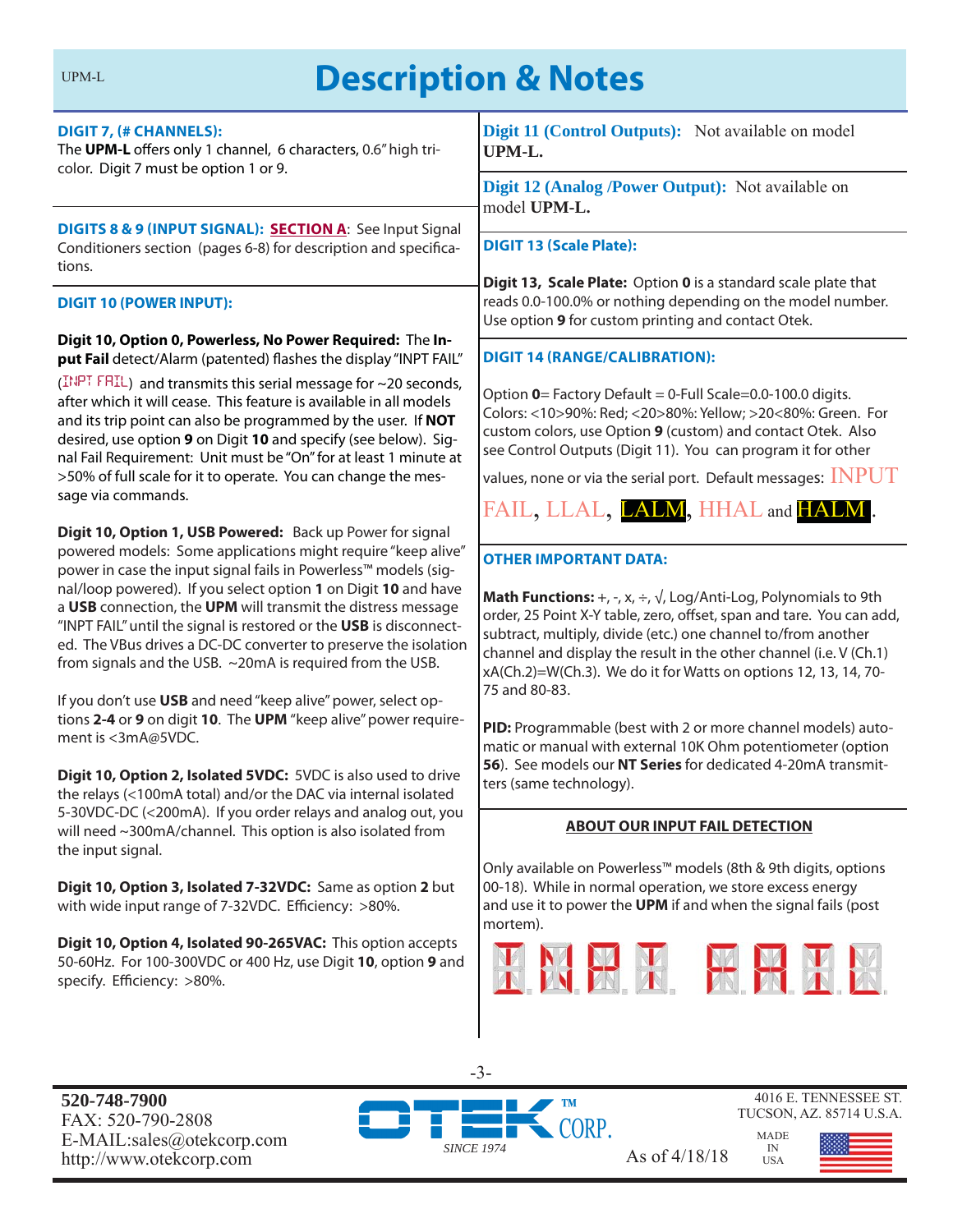# UPM-L**Description & Notes**

| <b>DIGIT 7, (# CHANNELS):</b><br>The UPM-L offers only 1 channel, 6 characters, 0.6" high tri-<br>color. Digit 7 must be option 1 or 9.                                                                                                                                                                                                                                                                                                                                                                                                                                                                                                                                                                                                                                                                                                                                                          | Digit 11 (Control Outputs): Not available on model<br>UPM-L.                                                                                                                                                                                                                                                                                                                                                                                                                                                                                                                                                                                        |  |
|--------------------------------------------------------------------------------------------------------------------------------------------------------------------------------------------------------------------------------------------------------------------------------------------------------------------------------------------------------------------------------------------------------------------------------------------------------------------------------------------------------------------------------------------------------------------------------------------------------------------------------------------------------------------------------------------------------------------------------------------------------------------------------------------------------------------------------------------------------------------------------------------------|-----------------------------------------------------------------------------------------------------------------------------------------------------------------------------------------------------------------------------------------------------------------------------------------------------------------------------------------------------------------------------------------------------------------------------------------------------------------------------------------------------------------------------------------------------------------------------------------------------------------------------------------------------|--|
|                                                                                                                                                                                                                                                                                                                                                                                                                                                                                                                                                                                                                                                                                                                                                                                                                                                                                                  | Digit 12 (Analog /Power Output): Not available on<br>model UPM-L.                                                                                                                                                                                                                                                                                                                                                                                                                                                                                                                                                                                   |  |
| DIGITS 8 & 9 (INPUT SIGNAL): SECTION A: See Input Signal<br>Conditioners section (pages 6-8) for description and specifica-<br>tions.                                                                                                                                                                                                                                                                                                                                                                                                                                                                                                                                                                                                                                                                                                                                                            | <b>DIGIT 13 (Scale Plate):</b>                                                                                                                                                                                                                                                                                                                                                                                                                                                                                                                                                                                                                      |  |
| <b>DIGIT 10 (POWER INPUT):</b>                                                                                                                                                                                                                                                                                                                                                                                                                                                                                                                                                                                                                                                                                                                                                                                                                                                                   | Digit 13, Scale Plate: Option 0 is a standard scale plate that<br>reads 0.0-100.0% or nothing depending on the model number.<br>Use option 9 for custom printing and contact Otek.                                                                                                                                                                                                                                                                                                                                                                                                                                                                  |  |
| Digit 10, Option 0, Powerless, No Power Required: The In-<br>put Fail detect/Alarm (patented) flashes the display "INPT FAIL"                                                                                                                                                                                                                                                                                                                                                                                                                                                                                                                                                                                                                                                                                                                                                                    | <b>DIGIT 14 (RANGE/CALIBRATION):</b>                                                                                                                                                                                                                                                                                                                                                                                                                                                                                                                                                                                                                |  |
| (INPT FRIL) and transmits this serial message for $\sim$ 20 seconds,<br>after which it will cease. This feature is available in all models<br>and its trip point can also be programmed by the user. If NOT<br>desired, use option 9 on Digit 10 and specify (see below). Sig-<br>nal Fail Requirement: Unit must be "On" for at least 1 minute at<br>>50% of full scale for it to operate. You can change the mes-                                                                                                                                                                                                                                                                                                                                                                                                                                                                              | Option 0= Factory Default = 0-Full Scale=0.0-100.0 digits.<br>Colors: <10>90%: Red; <20>80%: Yellow; >20<80%: Green. For<br>custom colors, use Option 9 (custom) and contact Otek. Also<br>see Control Outputs (Digit 11). You can program it for other<br>values, none or via the serial port. Default messages: $INPUT$                                                                                                                                                                                                                                                                                                                           |  |
| sage via commands.                                                                                                                                                                                                                                                                                                                                                                                                                                                                                                                                                                                                                                                                                                                                                                                                                                                                               | FAIL, LLAL, LALM, HHAL and HALM.                                                                                                                                                                                                                                                                                                                                                                                                                                                                                                                                                                                                                    |  |
| Digit 10, Option 1, USB Powered: Back up Power for signal<br>powered models: Some applications might require "keep alive"<br>power in case the input signal fails in Powerless™ models (sig-<br>nal/loop powered). If you select option 1 on Digit 10 and have<br>a USB connection, the UPM will transmit the distress message<br>"INPT FAIL" until the signal is restored or the USB is disconnect-<br>ed. The VBus drives a DC-DC converter to preserve the isolation<br>from signals and the USB. ~20mA is required from the USB.<br>If you don't use USB and need "keep alive" power, select op-<br>tions 2-4 or 9 on digit 10. The UPM "keep alive" power require-<br>ment is <3mA@5VDC.<br>Digit 10, Option 2, Isolated 5VDC: 5VDC is also used to drive<br>the relays (<100mA total) and/or the DAC via internal isolated<br>5-30VDC-DC (<200mA). If you order relays and analog out, you | <b>OTHER IMPORTANT DATA:</b><br><b>Math Functions:</b> +, -, x, $\div$ , $\sqrt{ }$ , Log/Anti-Log, Polynomials to 9th<br>order, 25 Point X-Y table, zero, offset, span and tare. You can add,<br>subtract, multiply, divide (etc.) one channel to/from another<br>channel and display the result in the other channel (i.e. V (Ch.1)<br>xA(Ch.2)=W(Ch.3). We do it for Watts on options 12, 13, 14, 70-<br>75 and 80-83.<br>PID: Programmable (best with 2 or more channel models) auto-<br>matic or manual with external 10K Ohm potentiometer (option<br>56). See models our NT Series for dedicated 4-20mA transmit-<br>ters (same technology). |  |
| will need ~300mA/channel. This option is also isolated from<br>the input signal.                                                                                                                                                                                                                                                                                                                                                                                                                                                                                                                                                                                                                                                                                                                                                                                                                 | <b>ABOUT OUR INPUT FAIL DETECTION</b>                                                                                                                                                                                                                                                                                                                                                                                                                                                                                                                                                                                                               |  |
| Digit 10, Option 3, Isolated 7-32VDC: Same as option 2 but<br>with wide input range of 7-32VDC. Efficiency: >80%.<br>Digit 10, Option 4, Isolated 90-265VAC: This option accepts<br>50-60Hz. For 100-300VDC or 400 Hz, use Digit 10, option 9 and<br>specify. Efficiency: >80%.                                                                                                                                                                                                                                                                                                                                                                                                                                                                                                                                                                                                                  | Only available on Powerless™ models (8th & 9th digits, options<br>00-18). While in normal operation, we store excess energy<br>and use it to power the UPM if and when the signal fails (post<br>mortem).<br>KMHXX HHX                                                                                                                                                                                                                                                                                                                                                                                                                              |  |
| 520-748-7900                                                                                                                                                                                                                                                                                                                                                                                                                                                                                                                                                                                                                                                                                                                                                                                                                                                                                     | $-3-$<br>4016 E. TENNESSEE ST.                                                                                                                                                                                                                                                                                                                                                                                                                                                                                                                                                                                                                      |  |

**520-748-7900** FAX: 520-790-2808 E-MAIL:sales@otekcorp.com http://www.ote $\kappa$ corp.com As of 4/18/18





TUCSON, AZ. 85714 U.S.A.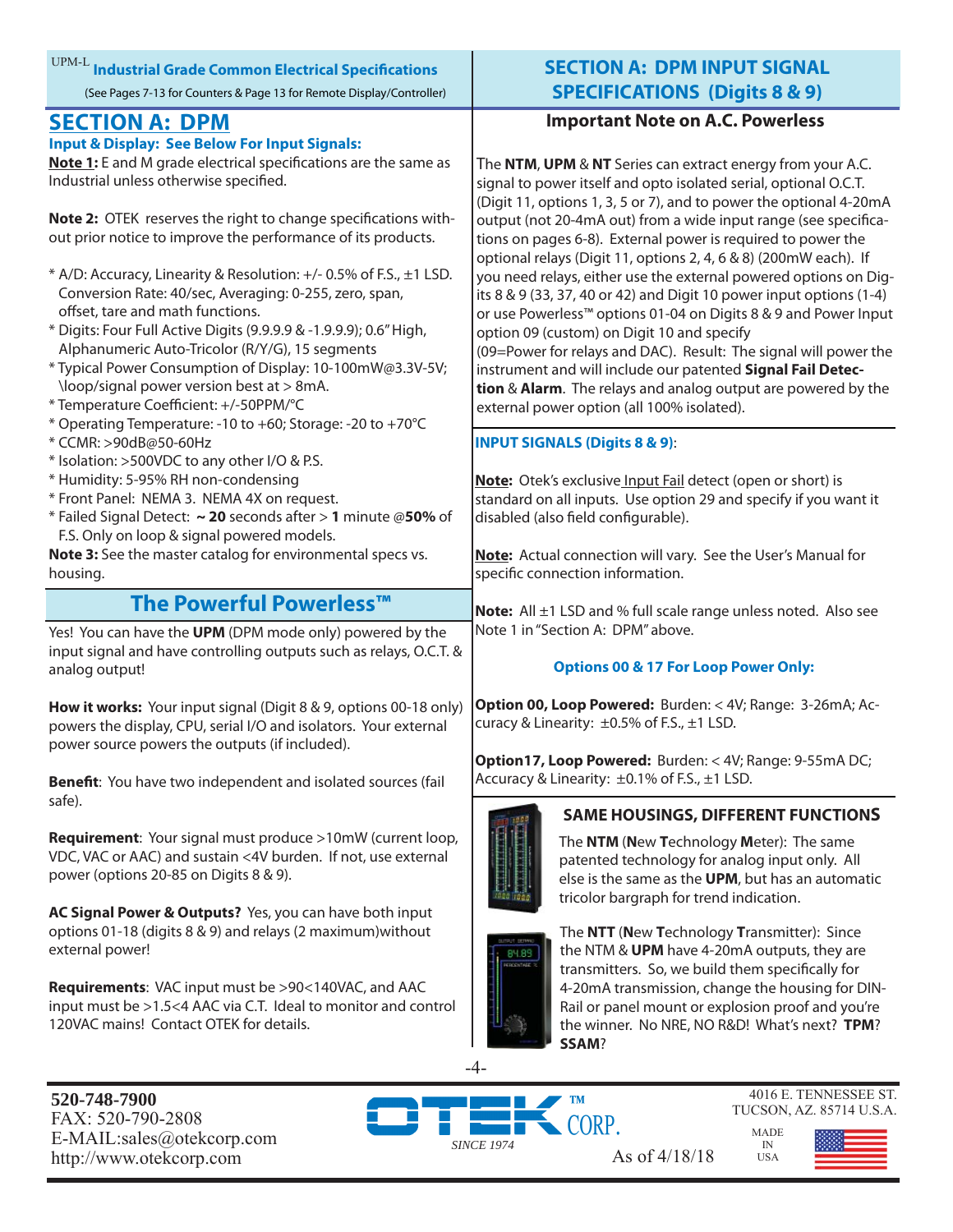|  |  | $^{\rm UPM-L}$ Industrial Grade Common Electrical Specifications      |  |
|--|--|-----------------------------------------------------------------------|--|
|  |  | (See Pages 7-13 for Counters & Page 13 for Remote Display/Controller) |  |

### **SECTION A: DPM**

#### **Input & Display: See Below For Input Signals:**

Note 1: E and M grade electrical specifications are the same as Industrial unless otherwise specified.

**Note 2:** OTEK reserves the right to change specifications without prior notice to improve the performance of its products.

- \* A/D: Accuracy, Linearity & Resolution: +/- 0.5% of F.S., ±1 LSD. Conversion Rate: 40/sec, Averaging: 0-255, zero, span, offset, tare and math functions.
- \* Digits: Four Full Active Digits (9.9.9.9 & -1.9.9.9); 0.6" High, Alphanumeric Auto-Tricolor (R/Y/G), 15 segments
- \* Typical Power Consumption of Display: 10-100mW@3.3V-5V; \loop/signal power version best at > 8mA.
- \* Temperature Coeffi cient: +/-50PPM/°C
- \* Operating Temperature: -10 to +60; Storage: -20 to +70°C
- \* CCMR: >90dB@50-60Hz
- \* Isolation: >500VDC to any other I/O & P.S.
- \* Humidity: 5-95% RH non-condensing
- \* Front Panel: NEMA 3. NEMA 4X on request.

\* Failed Signal Detect: **~ 20** seconds after > **1** minute @**50%** of F.S. Only on loop & signal powered models.

**Note 3:** See the master catalog for environmental specs vs. housing.

### **The Powerful Powerless™**

Yes! You can have the **UPM** (DPM mode only) powered by the input signal and have controlling outputs such as relays, O.C.T. & analog output!

**How it works:** Your input signal (Digit 8 & 9, options 00-18 only) powers the display, CPU, serial I/O and isolators. Your external power source powers the outputs (if included).

**Benefit:** You have two independent and isolated sources (fail safe).

**Requirement**: Your signal must produce >10mW (current loop, VDC, VAC or AAC) and sustain <4V burden. If not, use external power (options 20-85 on Digits 8 & 9).

**AC Signal Power & Outputs?** Yes, you can have both input options 01-18 (digits 8 & 9) and relays (2 maximum)without external power!

**Requirements**: VAC input must be >90<140VAC, and AAC input must be >1.5<4 AAC via C.T. Ideal to monitor and control 120VAC mains! Contact OTEK for details.

### **SECTION A: DPM INPUT SIGNAL SPECIFICATIONS (Digits 8 & 9)**

#### **Important Note on A.C. Powerless**

The **NTM**, **UPM** & **NT** Series can extract energy from your A.C. signal to power itself and opto isolated serial, optional O.C.T. (Digit 11, options 1, 3, 5 or 7), and to power the optional 4-20mA output (not 20-4mA out) from a wide input range (see specifications on pages 6-8). External power is required to power the optional relays (Digit 11, options 2, 4, 6 & 8) (200mW each). If you need relays, either use the external powered options on Digits 8 & 9 (33, 37, 40 or 42) and Digit 10 power input options (1-4) or use Powerless™ options 01-04 on Digits 8 & 9 and Power Input option 09 (custom) on Digit 10 and specify (09=Power for relays and DAC). Result: The signal will power the instrument and will include our patented **Signal Fail Detection** & **Alarm**. The relays and analog output are powered by the external power option (all 100% isolated).

#### **INPUT SIGNALS (Digits 8 & 9)**:

**Note:** Otek's exclusive Input Fail detect (open or short) is standard on all inputs. Use option 29 and specify if you want it disabled (also field configurable).

**Note:** Actual connection will vary. See the User's Manual for specific connection information.

**Note:** All ±1 LSD and % full scale range unless noted. Also see Note 1 in "Section A: DPM" above.

#### **Options 00 & 17 For Loop Power Only:**

**Option 00, Loop Powered:** Burden: < 4V; Range: 3-26mA; Accuracy & Linearity:  $\pm 0.5\%$  of F.S.,  $\pm 1$  LSD.

**Option17, Loop Powered:** Burden: < 4V; Range: 9-55mA DC; Accuracy & Linearity: ±0.1% of F.S., ±1 LSD.



#### **SAME HOUSINGS, DIFFERENT FUNCTIONS**

The **NTM** (**N**ew **T**echnology **M**eter): The same patented technology for analog input only. All else is the same as the **UPM**, but has an automatic tricolor bargraph for trend indication.



The **NTT** (**N**ew **T**echnology **T**ransmitter): Since the NTM & **UPM** have 4-20mA outputs, they are transmitters. So, we build them specifically for 4-20mA transmission, change the housing for DIN-Rail or panel mount or explosion proof and you're the winner. No NRE, NO R&D! What's next? **TPM**? **SSAM**?

**520-748-7900** FAX: 520-790-2808 E-MAIL:sales@otekcorp.com http://www.otekcorp.com As of 4/18/18

CORP.



4016 E. TENNESSEE ST.

MADE IN USA

-4-

*SINCE 1974*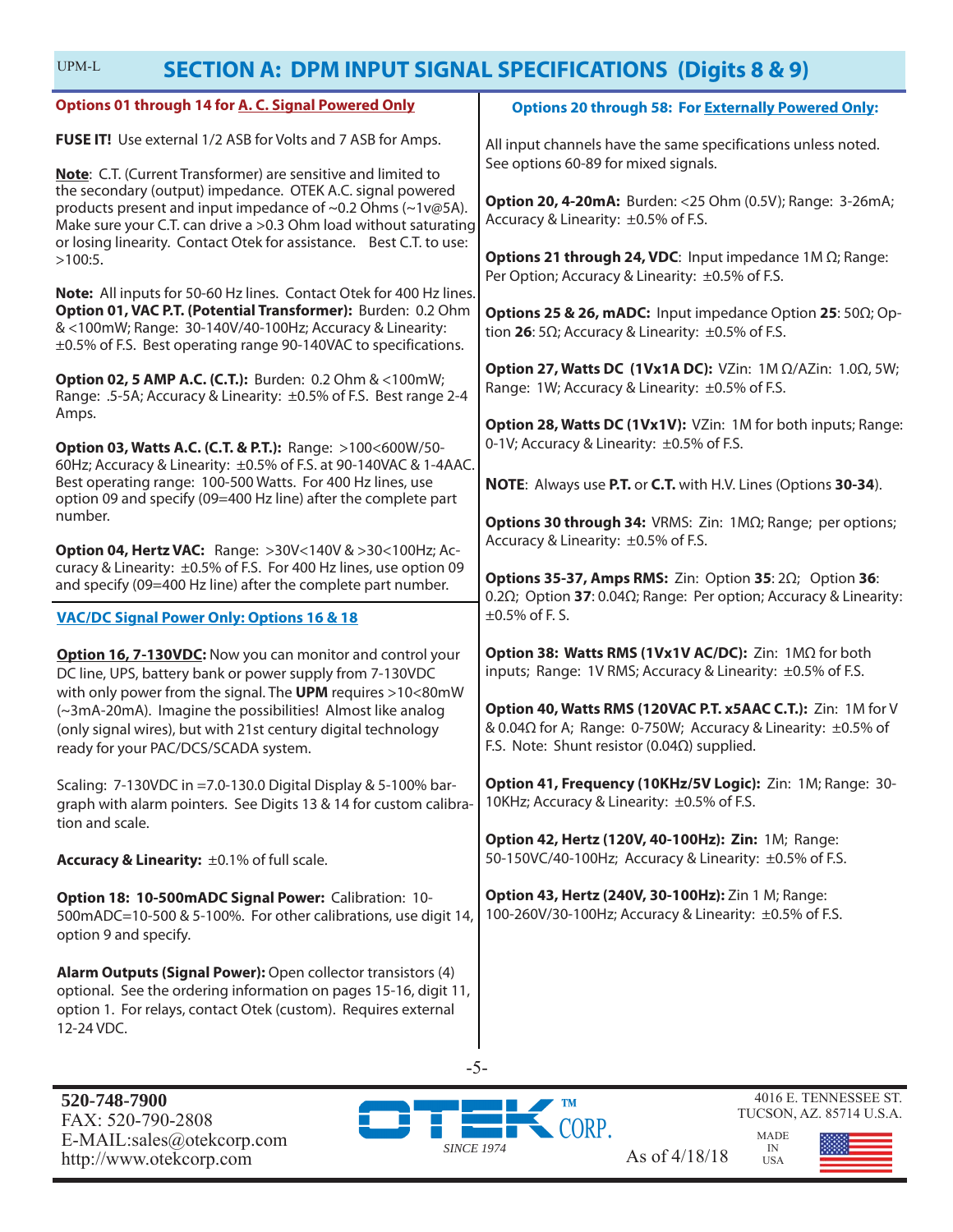| UPM-L                                                                                                                                                                                                                                                                | <b>SECTION A: DPM INPUT SIGNAL SPECIFICATIONS (Digits 8 &amp; 9)</b>                                                                                                                 |  |
|----------------------------------------------------------------------------------------------------------------------------------------------------------------------------------------------------------------------------------------------------------------------|--------------------------------------------------------------------------------------------------------------------------------------------------------------------------------------|--|
| <b>Options 01 through 14 for A. C. Signal Powered Only</b>                                                                                                                                                                                                           | <b>Options 20 through 58: For Externally Powered Only:</b>                                                                                                                           |  |
| FUSE IT! Use external 1/2 ASB for Volts and 7 ASB for Amps.<br>Note: C.T. (Current Transformer) are sensitive and limited to                                                                                                                                         | All input channels have the same specifications unless noted.<br>See options 60-89 for mixed signals.                                                                                |  |
| the secondary (output) impedance. OTEK A.C. signal powered<br>products present and input impedance of ~0.2 Ohms (~1v@5A).<br>Make sure your C.T. can drive a >0.3 Ohm load without saturating<br>or losing linearity. Contact Otek for assistance. Best C.T. to use: | <b>Option 20, 4-20mA:</b> Burden: <25 Ohm (0.5V); Range: 3-26mA;<br>Accuracy & Linearity: ±0.5% of F.S.                                                                              |  |
| $>100:5$ .                                                                                                                                                                                                                                                           | <b>Options 21 through 24, VDC:</b> Input impedance $1M \Omega$ ; Range:<br>Per Option; Accuracy & Linearity: ±0.5% of F.S.                                                           |  |
| Note: All inputs for 50-60 Hz lines. Contact Otek for 400 Hz lines.<br>Option 01, VAC P.T. (Potential Transformer): Burden: 0.2 Ohm<br>& <100mW; Range: 30-140V/40-100Hz; Accuracy & Linearity:<br>±0.5% of F.S. Best operating range 90-140VAC to specifications.   | <b>Options 25 &amp; 26, mADC:</b> Input impedance Option 25: $50\Omega$ ; Op-<br>tion 26: 5 $\Omega$ ; Accuracy & Linearity: $\pm 0.5\%$ of F.S.                                     |  |
| <b>Option 02, 5 AMP A.C. (C.T.):</b> Burden: 0.2 Ohm & <100mW;<br>Range: .5-5A; Accuracy & Linearity: ±0.5% of F.S. Best range 2-4                                                                                                                                   | Option 27, Watts DC (1Vx1A DC): VZin: $1M \Omega/AZ$ in: $1.0\Omega$ , 5W;<br>Range: 1W; Accuracy & Linearity: ±0.5% of F.S.                                                         |  |
| Amps.<br>Option 03, Watts A.C. (C.T. & P.T.): Range: >100<600W/50-                                                                                                                                                                                                   | Option 28, Watts DC (1Vx1V): VZin: 1M for both inputs; Range:<br>0-1V; Accuracy & Linearity: ±0.5% of F.S.                                                                           |  |
| 60Hz; Accuracy & Linearity: ±0.5% of F.S. at 90-140VAC & 1-4AAC.<br>Best operating range: 100-500 Watts. For 400 Hz lines, use<br>option 09 and specify (09=400 Hz line) after the complete part                                                                     | NOTE: Always use P.T. or C.T. with H.V. Lines (Options 30-34).                                                                                                                       |  |
| number.<br><b>Option 04, Hertz VAC: Range: &gt;30V&lt;140V &amp; &gt;30&lt;100Hz; Ac-</b>                                                                                                                                                                            | Options 30 through 34: VRMS: Zin: 1ΜΩ; Range; per options;<br>Accuracy & Linearity: ±0.5% of F.S.                                                                                    |  |
| curacy & Linearity: ±0.5% of F.S. For 400 Hz lines, use option 09<br>and specify (09=400 Hz line) after the complete part number.                                                                                                                                    | Options 35-37, Amps RMS: Zin: Option 35: $2\Omega$ ; Option 36:<br>0.2 $\Omega$ ; Option 37: 0.04 $\Omega$ ; Range: Per option; Accuracy & Linearity:                                |  |
| <b>VAC/DC Signal Power Only: Options 16 &amp; 18</b>                                                                                                                                                                                                                 | $\pm 0.5\%$ of F.S.                                                                                                                                                                  |  |
| Option 16, 7-130VDC: Now you can monitor and control your<br>DC line, UPS, battery bank or power supply from 7-130VDC                                                                                                                                                | Option 38: Watts RMS (1Vx1V AC/DC): Zin: 1MΩ for both<br>inputs; Range: 1V RMS; Accuracy & Linearity: ±0.5% of F.S.                                                                  |  |
| with only power from the signal. The UPM requires >10<80mW<br>(~3mA-20mA). Imagine the possibilities! Almost like analog<br>(only signal wires), but with 21st century digital technology<br>ready for your PAC/DCS/SCADA system.                                    | Option 40, Watts RMS (120VAC P.T. x5AAC C.T.): Zin: 1M for V<br>& 0.04Ω for A; Range: 0-750W; Accuracy & Linearity: ±0.5% of<br>F.S. Note: Shunt resistor (0.04 $\Omega$ ) supplied. |  |
| Scaling: 7-130VDC in =7.0-130.0 Digital Display & 5-100% bar-<br>graph with alarm pointers. See Digits 13 & 14 for custom calibra-<br>tion and scale.                                                                                                                | Option 41, Frequency (10KHz/5V Logic): Zin: 1M; Range: 30-<br>10KHz; Accuracy & Linearity: ±0.5% of F.S.                                                                             |  |
| Accuracy & Linearity: ±0.1% of full scale.                                                                                                                                                                                                                           | Option 42, Hertz (120V, 40-100Hz): Zin: 1M; Range:<br>50-150VC/40-100Hz; Accuracy & Linearity: ±0.5% of F.S.                                                                         |  |
| Option 18: 10-500mADC Signal Power: Calibration: 10-<br>500mADC=10-500 & 5-100%. For other calibrations, use digit 14,<br>option 9 and specify.                                                                                                                      | Option 43, Hertz (240V, 30-100Hz): Zin 1 M; Range:<br>100-260V/30-100Hz; Accuracy & Linearity: ±0.5% of F.S.                                                                         |  |
| Alarm Outputs (Signal Power): Open collector transistors (4)<br>optional. See the ordering information on pages 15-16, digit 11,<br>option 1. For relays, contact Otek (custom). Requires external<br>12-24 VDC.                                                     |                                                                                                                                                                                      |  |



-5-

IN USA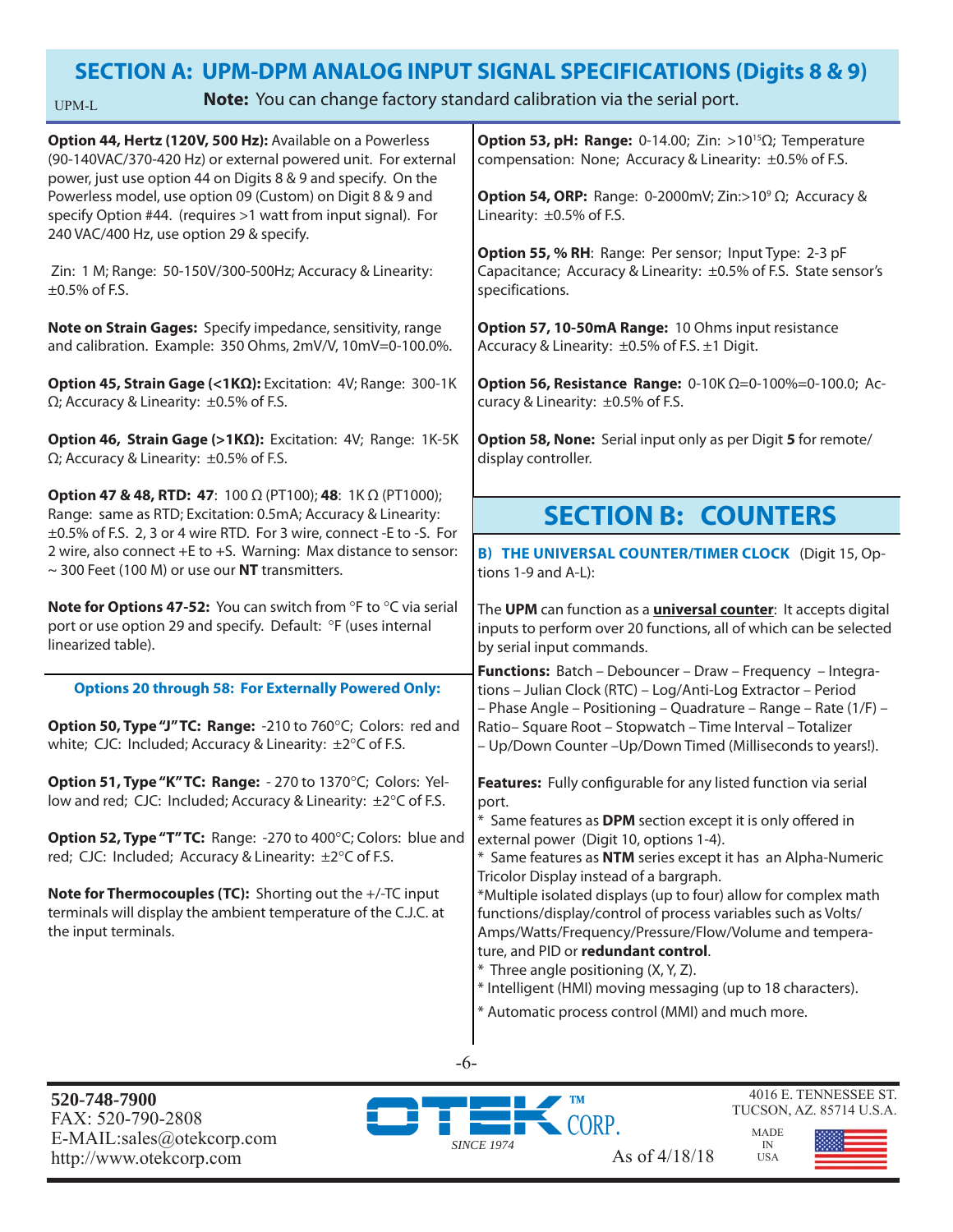### **SECTION A: UPM-DPM ANALOG INPUT SIGNAL SPECIFICATIONS (Digits 8 & 9)**

UPM-L

**Note:** You can change factory standard calibration via the serial port.

| Option 44, Hertz (120V, 500 Hz): Available on a Powerless<br>(90-140VAC/370-420 Hz) or external powered unit. For external<br>power, just use option 44 on Digits 8 & 9 and specify. On the<br>Powerless model, use option 09 (Custom) on Digit 8 & 9 and                                                                              | <b>Option 53, pH: Range:</b> 0-14.00; Zin: >10 <sup>15</sup> $\Omega$ ; Temperature<br>compensation: None; Accuracy & Linearity: ±0.5% of F.S.<br><b>Option 54, ORP:</b> Range: 0-2000mV; Zin:>10 <sup>9</sup> $\Omega$ ; Accuracy &                                                                                                                                                         |  |  |
|----------------------------------------------------------------------------------------------------------------------------------------------------------------------------------------------------------------------------------------------------------------------------------------------------------------------------------------|----------------------------------------------------------------------------------------------------------------------------------------------------------------------------------------------------------------------------------------------------------------------------------------------------------------------------------------------------------------------------------------------|--|--|
| specify Option #44. (requires >1 watt from input signal). For<br>240 VAC/400 Hz, use option 29 & specify.                                                                                                                                                                                                                              | Linearity: ±0.5% of F.S.<br>Option 55, % RH: Range: Per sensor; Input Type: 2-3 pF                                                                                                                                                                                                                                                                                                           |  |  |
| Zin: 1 M; Range: 50-150V/300-500Hz; Accuracy & Linearity:<br>$\pm 0.5\%$ of F.S.                                                                                                                                                                                                                                                       | Capacitance; Accuracy & Linearity: ±0.5% of F.S. State sensor's<br>specifications.                                                                                                                                                                                                                                                                                                           |  |  |
| Note on Strain Gages: Specify impedance, sensitivity, range<br>and calibration. Example: 350 Ohms, 2mV/V, 10mV=0-100.0%.                                                                                                                                                                                                               | Option 57, 10-50mA Range: 10 Ohms input resistance<br>Accuracy & Linearity: ±0.5% of F.S. ±1 Digit.                                                                                                                                                                                                                                                                                          |  |  |
| Option 45, Strain Gage (<1ΚΩ): Excitation: 4V; Range: 300-1K<br>$\Omega$ ; Accuracy & Linearity: $\pm 0.5\%$ of F.S.                                                                                                                                                                                                                   | <b>Option 56, Resistance Range:</b> 0-10K $\Omega$ =0-100%=0-100.0; Ac-<br>curacy & Linearity: ±0.5% of F.S.                                                                                                                                                                                                                                                                                 |  |  |
| Option 46, Strain Gage (>1ΚΩ): Excitation: 4V; Range: 1K-5K<br>$\Omega$ ; Accuracy & Linearity: $\pm 0.5\%$ of F.S.                                                                                                                                                                                                                    | Option 58, None: Serial input only as per Digit 5 for remote/<br>display controller.                                                                                                                                                                                                                                                                                                         |  |  |
| <b>Option 47 &amp; 48, RTD: 47:</b> 100 Ω (PT100); 48: 1Κ Ω (PT1000);<br>Range: same as RTD; Excitation: 0.5mA; Accuracy & Linearity:<br>±0.5% of F.S. 2, 3 or 4 wire RTD. For 3 wire, connect -E to -S. For<br>2 wire, also connect +E to +S. Warning: Max distance to sensor:<br>$\sim$ 300 Feet (100 M) or use our NT transmitters. | <b>SECTION B: COUNTERS</b>                                                                                                                                                                                                                                                                                                                                                                   |  |  |
|                                                                                                                                                                                                                                                                                                                                        | <b>B) THE UNIVERSAL COUNTER/TIMER CLOCK</b> (Digit 15, Op-<br>tions 1-9 and A-L):                                                                                                                                                                                                                                                                                                            |  |  |
| Note for Options 47-52: You can switch from °F to °C via serial<br>port or use option 29 and specify. Default: °F (uses internal<br>linearized table).                                                                                                                                                                                 | The UPM can function as a <i>universal counter</i> : It accepts digital<br>inputs to perform over 20 functions, all of which can be selected<br>by serial input commands.                                                                                                                                                                                                                    |  |  |
| <b>Options 20 through 58: For Externally Powered Only:</b>                                                                                                                                                                                                                                                                             | Functions: Batch - Debouncer - Draw - Frequency - Integra-<br>tions - Julian Clock (RTC) - Log/Anti-Log Extractor - Period<br>- Phase Angle - Positioning - Quadrature - Range - Rate (1/F) -                                                                                                                                                                                                |  |  |
| Option 50, Type "J" TC: Range: -210 to 760°C; Colors: red and<br>white; CJC: Included; Accuracy & Linearity: ±2°C of F.S.                                                                                                                                                                                                              | Ratio-Square Root - Stopwatch - Time Interval - Totalizer<br>- Up/Down Counter - Up/Down Timed (Milliseconds to years!).                                                                                                                                                                                                                                                                     |  |  |
| Option 51, Type "K" TC: Range: - 270 to 1370°C; Colors: Yel-<br>low and red; CJC: Included; Accuracy & Linearity: ±2°C of F.S.                                                                                                                                                                                                         | Features: Fully configurable for any listed function via serial<br>port.<br>* Same features as DPM section except it is only offered in                                                                                                                                                                                                                                                      |  |  |
| Option 52, Type "T" TC: Range: -270 to 400°C; Colors: blue and<br>red; CJC: Included; Accuracy & Linearity: ±2°C of F.S.                                                                                                                                                                                                               | external power (Digit 10, options 1-4).<br>* Same features as NTM series except it has an Alpha-Numeric<br>Tricolor Display instead of a bargraph.                                                                                                                                                                                                                                           |  |  |
| Note for Thermocouples (TC): Shorting out the +/-TC input<br>terminals will display the ambient temperature of the C.J.C. at<br>the input terminals.                                                                                                                                                                                   | *Multiple isolated displays (up to four) allow for complex math<br>functions/display/control of process variables such as Volts/<br>Amps/Watts/Frequency/Pressure/Flow/Volume and tempera-<br>ture, and PID or redundant control.<br>* Three angle positioning (X, Y, Z).<br>* Intelligent (HMI) moving messaging (up to 18 characters).<br>* Automatic process control (MMI) and much more. |  |  |
|                                                                                                                                                                                                                                                                                                                                        |                                                                                                                                                                                                                                                                                                                                                                                              |  |  |

-6-

**520-748-7900** FAX: 520-790-2808 E-MAIL:sales@otekcorp.com http://www.otekcorp.com As of 4/18/18

**TM** CORP. *SINCE 1974*

4016 E. TENNESSEE ST. TUCSON, AZ. 85714 U.S.A.

MADE

IN USA

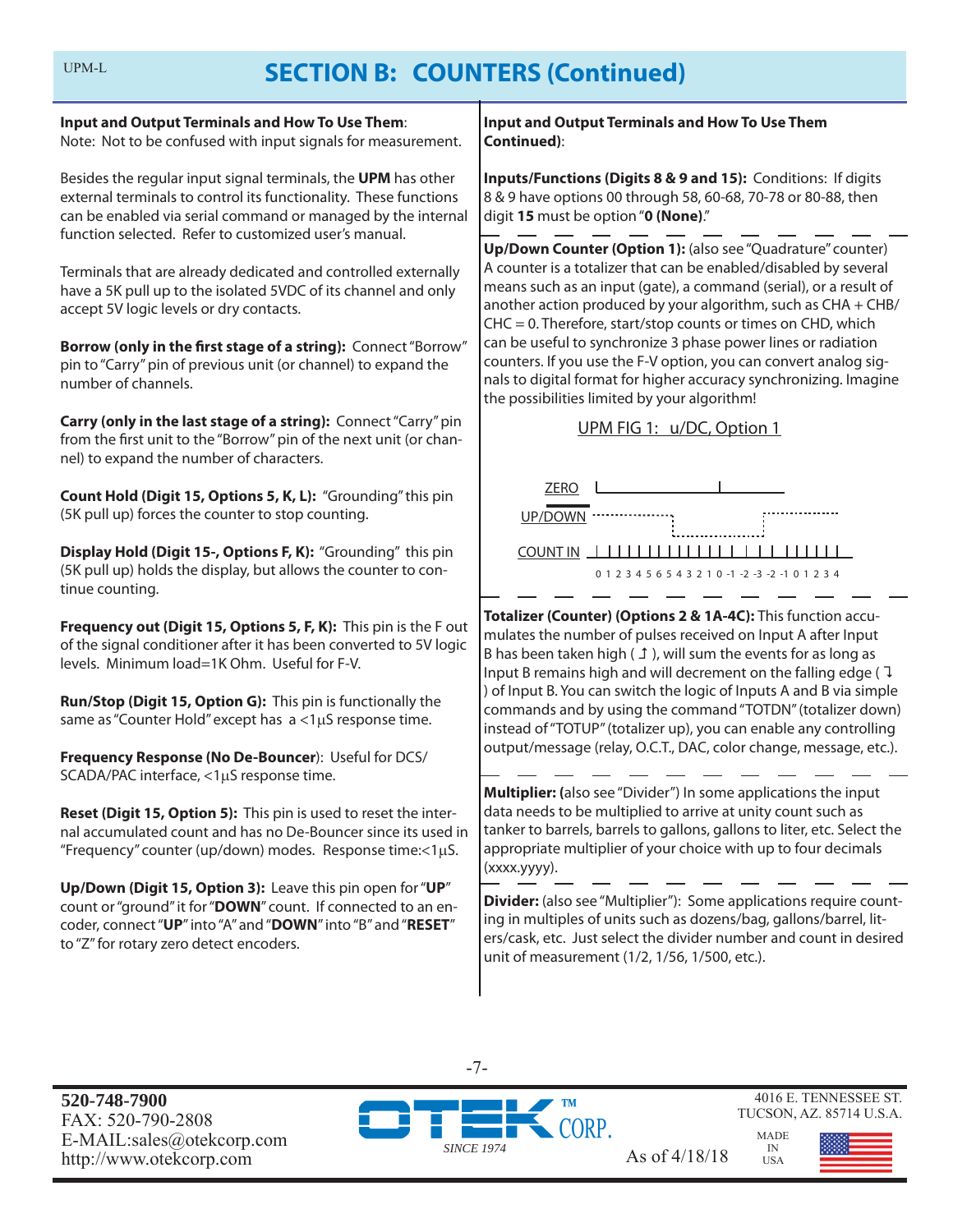| Input and Output Terminals and How To Use Them:<br>Note: Not to be confused with input signals for measurement.                                                                                                                                            | <b>Input and Output Terminals and How To Use Them</b><br><b>Continued):</b>                                                                                                                                                                                                                                                           |
|------------------------------------------------------------------------------------------------------------------------------------------------------------------------------------------------------------------------------------------------------------|---------------------------------------------------------------------------------------------------------------------------------------------------------------------------------------------------------------------------------------------------------------------------------------------------------------------------------------|
| Besides the regular input signal terminals, the UPM has other<br>external terminals to control its functionality. These functions<br>can be enabled via serial command or managed by the internal<br>function selected. Refer to customized user's manual. | Inputs/Functions (Digits 8 & 9 and 15): Conditions: If digits<br>8 & 9 have options 00 through 58, 60-68, 70-78 or 80-88, then<br>digit 15 must be option "0 (None)."                                                                                                                                                                 |
| Terminals that are already dedicated and controlled externally<br>have a 5K pull up to the isolated 5VDC of its channel and only<br>accept 5V logic levels or dry contacts.                                                                                | Up/Down Counter (Option 1): (also see "Quadrature" counter)<br>A counter is a totalizer that can be enabled/disabled by several<br>means such as an input (gate), a command (serial), or a result of<br>another action produced by your algorithm, such as CHA + CHB/<br>CHC = 0. Therefore, start/stop counts or times on CHD, which |
| Borrow (only in the first stage of a string): Connect "Borrow"<br>pin to "Carry" pin of previous unit (or channel) to expand the<br>number of channels.                                                                                                    | can be useful to synchronize 3 phase power lines or radiation<br>counters. If you use the F-V option, you can convert analog sig-<br>nals to digital format for higher accuracy synchronizing. Imagine<br>the possibilities limited by your algorithm!                                                                                |
| Carry (only in the last stage of a string): Connect "Carry" pin<br>from the first unit to the "Borrow" pin of the next unit (or chan-<br>nel) to expand the number of characters.                                                                          | UPM FIG 1: u/DC, Option 1                                                                                                                                                                                                                                                                                                             |
| Count Hold (Digit 15, Options 5, K, L): "Grounding" this pin<br>(5K pull up) forces the counter to stop counting.                                                                                                                                          | <b>ZERO</b><br>UP/DOWN                                                                                                                                                                                                                                                                                                                |
| Display Hold (Digit 15-, Options F, K): "Grounding" this pin<br>(5K pull up) holds the display, but allows the counter to con-<br>tinue counting.                                                                                                          | COUNTIN <b>ILLILILILILILI</b><br>0 1 2 3 4 5 6 5 4 3 2 1 0 -1 -2 -3 -2 -1 0 1 2 3 4                                                                                                                                                                                                                                                   |
| Frequency out (Digit 15, Options 5, F, K): This pin is the F out<br>of the signal conditioner after it has been converted to 5V logic<br>levels. Minimum load=1K Ohm. Useful for F-V.                                                                      | Totalizer (Counter) (Options 2 & 1A-4C): This function accu-<br>mulates the number of pulses received on Input A after Input<br>B has been taken high $(1)$ , will sum the events for as long as<br>Input B remains high and will decrement on the falling edge ( 1                                                                   |
| Run/Stop (Digit 15, Option G): This pin is functionally the<br>same as "Counter Hold" except has a <1µS response time.                                                                                                                                     | ) of Input B. You can switch the logic of Inputs A and B via simple<br>commands and by using the command "TOTDN" (totalizer down)<br>instead of "TOTUP" (totalizer up), you can enable any controlling                                                                                                                                |
| Frequency Response (No De-Bouncer): Useful for DCS/<br>SCADA/PAC interface, <1µS response time.                                                                                                                                                            | output/message (relay, O.C.T., DAC, color change, message, etc.).                                                                                                                                                                                                                                                                     |
| Reset (Digit 15, Option 5): This pin is used to reset the inter-<br>nal accumulated count and has no De-Bouncer since its used in<br>"Frequency" counter (up/down) modes. Response time:<1µS.                                                              | Multiplier: (also see "Divider") In some applications the input<br>data needs to be multiplied to arrive at unity count such as<br>tanker to barrels, barrels to gallons, gallons to liter, etc. Select the<br>appropriate multiplier of your choice with up to four decimals<br>(xxxx.yyyy).                                         |
| Up/Down (Digit 15, Option 3): Leave this pin open for "UP"<br>count or "ground" it for "DOWN" count. If connected to an en-<br>coder, connect "UP" into "A" and "DOWN" into "B" and "RESET"<br>to "Z" for rotary zero detect encoders.                     | Divider: (also see "Multiplier"): Some applications require count-<br>ing in multiples of units such as dozens/bag, gallons/barrel, lit-<br>ers/cask, etc. Just select the divider number and count in desired<br>unit of measurement (1/2, 1/56, 1/500, etc.).                                                                       |
|                                                                                                                                                                                                                                                            |                                                                                                                                                                                                                                                                                                                                       |

**520-748-7900** FAX: 520-790-2808 E-MAIL:sales@otekcorp.com http://www.ote $\kappa$ corp.com As of 4/18/18



-7-

TUCSON, AZ. 85714 U.S.A. MADE IN

USA



4016 E. TENNESSEE ST.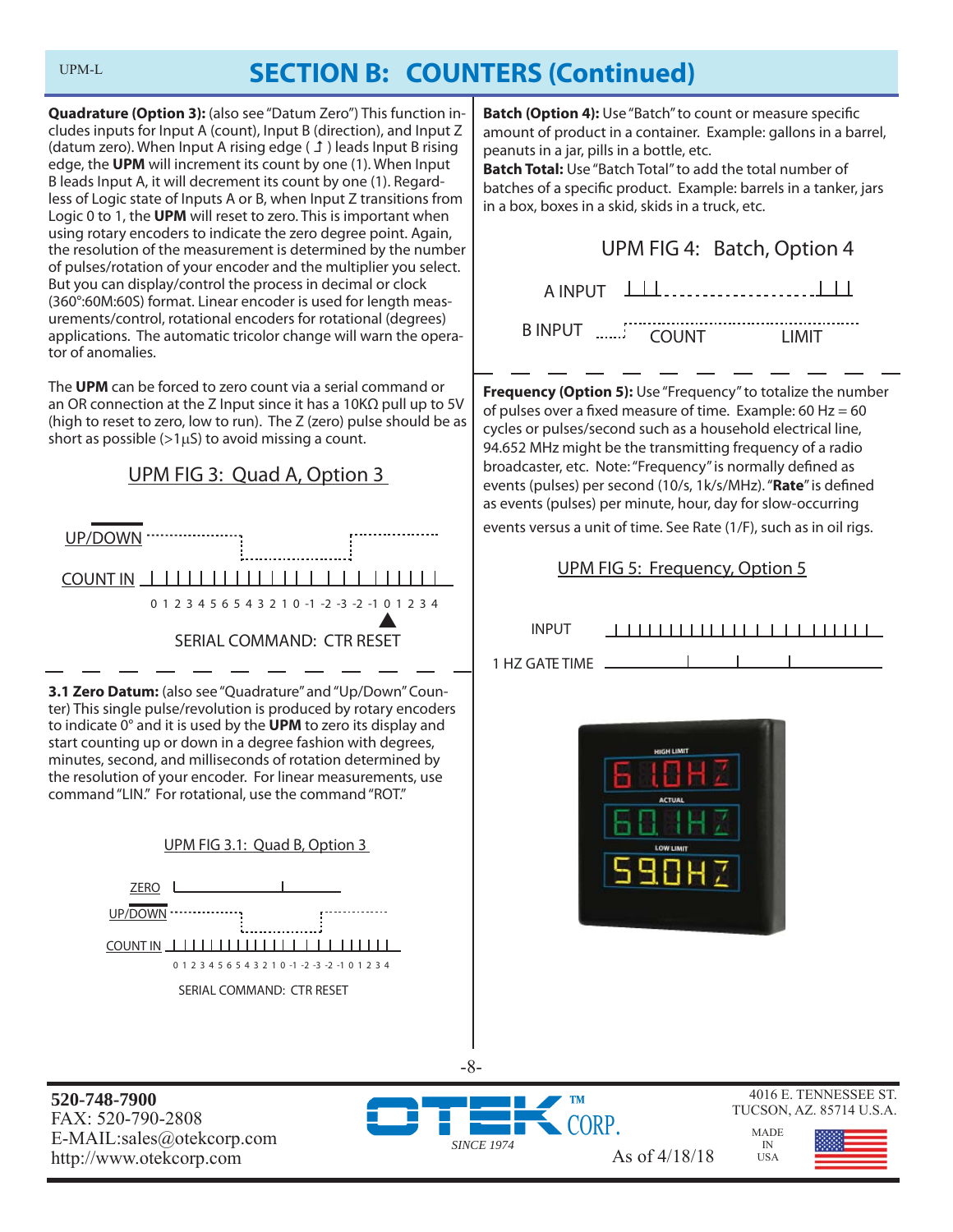**Quadrature (Option 3):** (also see "Datum Zero") This function includes inputs for Input A (count), Input B (direction), and Input Z (datum zero). When Input A rising edge  $(1)$  leads Input B rising edge, the **UPM** will increment its count by one (1). When Input B leads Input A, it will decrement its count by one (1). Regardless of Logic state of Inputs A or B, when Input Z transitions from Logic 0 to 1, the **UPM** will reset to zero. This is important when using rotary encoders to indicate the zero degree point. Again, the resolution of the measurement is determined by the number of pulses/rotation of your encoder and the multiplier you select. But you can display/control the process in decimal or clock (360°:60M:60S) format. Linear encoder is used for length measurements/control, rotational encoders for rotational (degrees) applications. The automatic tricolor change will warn the operator of anomalies.

The **UPM** can be forced to zero count via a serial command or an OR connection at the Z Input since it has a 10KΩ pull up to 5V (high to reset to zero, low to run). The Z (zero) pulse should be as short as possible  $(>1 \mu S)$  to avoid missing a count.





**520-748-7900** FAX: 520-790-2808 E-MAIL:sales@otekcorp.com http://www.otekcorp.com As of 4/18/18

INPUT

1 HZ GATE TIME



**Batch (Option 4):** Use "Batch" to count or measure specific amount of product in a container. Example: gallons in a barrel,

**Batch Total:** Use "Batch Total" to add the total number of batches of a specific product. Example: barrels in a tanker, jars

**Frequency (Option 5):** Use "Frequency" to totalize the number of pulses over a fixed measure of time. Example: 60 Hz =  $60$ cycles or pulses/second such as a household electrical line, 94.652 MHz might be the transmitting frequency of a radio broadcaster, etc. Note: "Frequency" is normally defined as events (pulses) per second (10/s, 1k/s/MHz). "Rate" is defined as events (pulses) per minute, hour, day for slow-occurring events versus a unit of time. See Rate (1/F), such as in oil rigs.

UPM FIG 5: Frequency, Option 5

A INPUT

B INPUT .......<sup>1</sup> COUNT LIMIT

UPM FIG 4: Batch, Option 4

peanuts in a jar, pills in a bottle, etc.

in a box, boxes in a skid, skids in a truck, etc.

**ORP** 

*SINCE 1974*

-8-



MADE IN USA

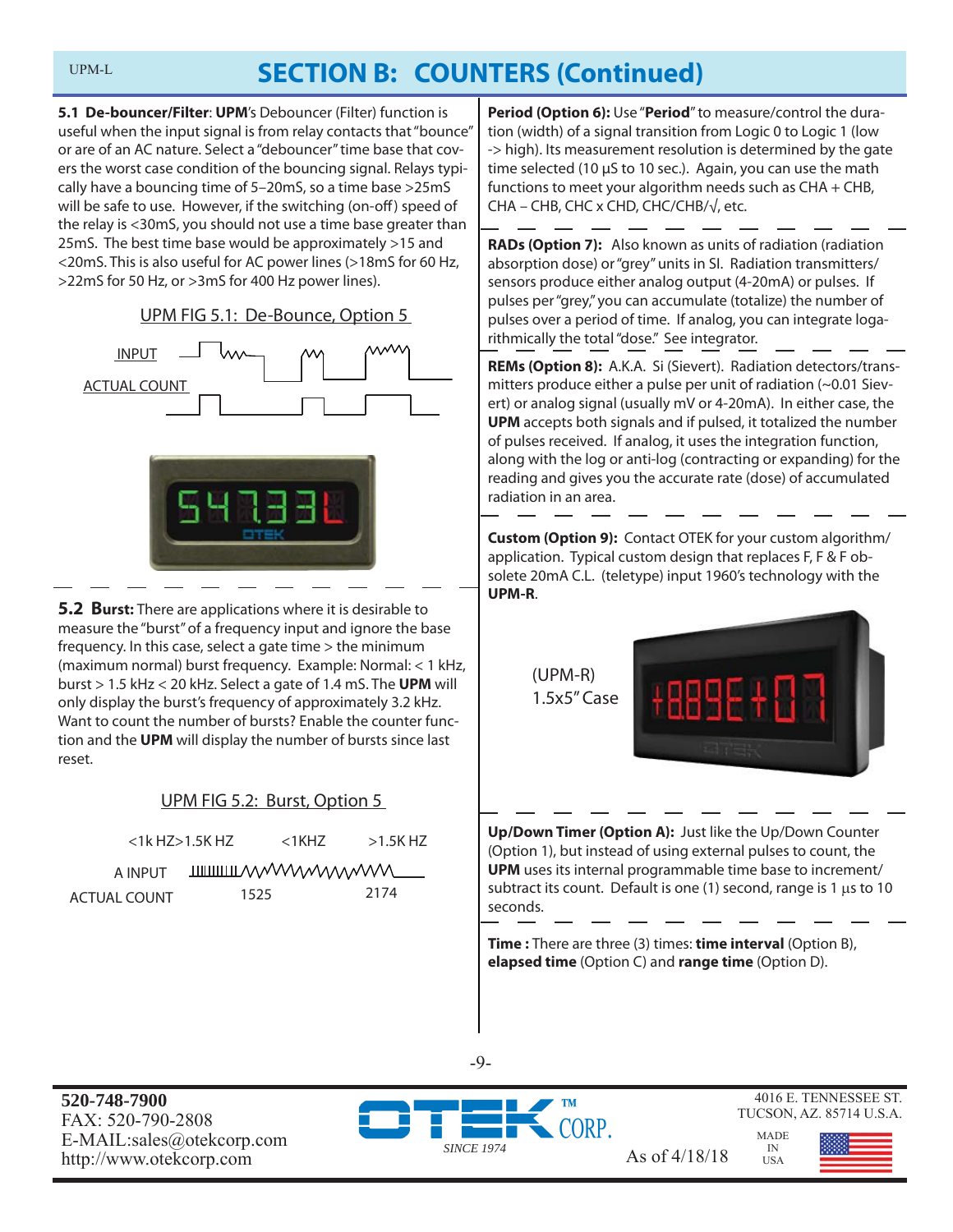**5.1 De-bouncer/Filter**: **UPM**'s Debouncer (Filter) function is useful when the input signal is from relay contacts that "bounce" or are of an AC nature. Select a "debouncer" time base that covers the worst case condition of the bouncing signal. Relays typically have a bouncing time of 5–20mS, so a time base >25mS will be safe to use. However, if the switching (on-off) speed of the relay is <30mS, you should not use a time base greater than 25mS. The best time base would be approximately >15 and <20mS. This is also useful for AC power lines (>18mS for 60 Hz, >22mS for 50 Hz, or >3mS for 400 Hz power lines).

UPM FIG 5.1: De-Bounce, Option 5





**5.2 Burst:** There are applications where it is desirable to measure the "burst" of a frequency input and ignore the base frequency. In this case, select a gate time > the minimum (maximum normal) burst frequency. Example: Normal: < 1 kHz, burst > 1.5 kHz < 20 kHz. Select a gate of 1.4 mS. The **UPM** will only display the burst's frequency of approximately 3.2 kHz. Want to count the number of bursts? Enable the counter function and the **UPM** will display the number of bursts since last reset.

### UPM FIG 5.2: Burst, Option 5

|              | <1k H7>1.5K H7 | $<$ 1KHZ | $>1.5$ K HZ                   |
|--------------|----------------|----------|-------------------------------|
| A INPUT      |                |          | <b>IIIIIIIIIIIIII/WWWWWWW</b> |
| ACTUAL COUNT | 1525           |          | 2174                          |

**Period (Option 6):** Use "**Period**" to measure/control the duration (width) of a signal transition from Logic 0 to Logic 1 (low -> high). Its measurement resolution is determined by the gate time selected (10 μS to 10 sec.). Again, you can use the math functions to meet your algorithm needs such as CHA + CHB, CHA – CHB, CHC x CHD, CHC/CHB/√, etc.

**RADs (Option 7):** Also known as units of radiation (radiation absorption dose) or "grey" units in SI. Radiation transmitters/ sensors produce either analog output (4-20mA) or pulses. If pulses per "grey," you can accumulate (totalize) the number of pulses over a period of time. If analog, you can integrate logarithmically the total "dose." See integrator.

**REMs (Option 8):** A.K.A. Si (Sievert). Radiation detectors/transmitters produce either a pulse per unit of radiation (~0.01 Sievert) or analog signal (usually mV or 4-20mA). In either case, the **UPM** accepts both signals and if pulsed, it totalized the number of pulses received. If analog, it uses the integration function, along with the log or anti-log (contracting or expanding) for the reading and gives you the accurate rate (dose) of accumulated radiation in an area.

**Custom (Option 9):** Contact OTEK for your custom algorithm/ application. Typical custom design that replaces F, F & F obsolete 20mA C.L. (teletype) input 1960's technology with the **UPM-R**.

> (UPM-R) 1.5x5" Case



**Up/Down Timer (Option A):** Just like the Up/Down Counter (Option 1), but instead of using external pulses to count, the **UPM** uses its internal programmable time base to increment/ subtract its count. Default is one (1) second, range is 1  $\mu$ s to 10 seconds.

**Time :** There are three (3) times: **time interval** (Option B), **elapsed time** (Option C) and **range time** (Option D).

**520-748-7900** FAX: 520-790-2808 E-MAIL:sales@otekcorp.com



-9-

4016 E. TENNESSEE ST. TUCSON, AZ. 85714 U.S.A.

> MADE IN USA

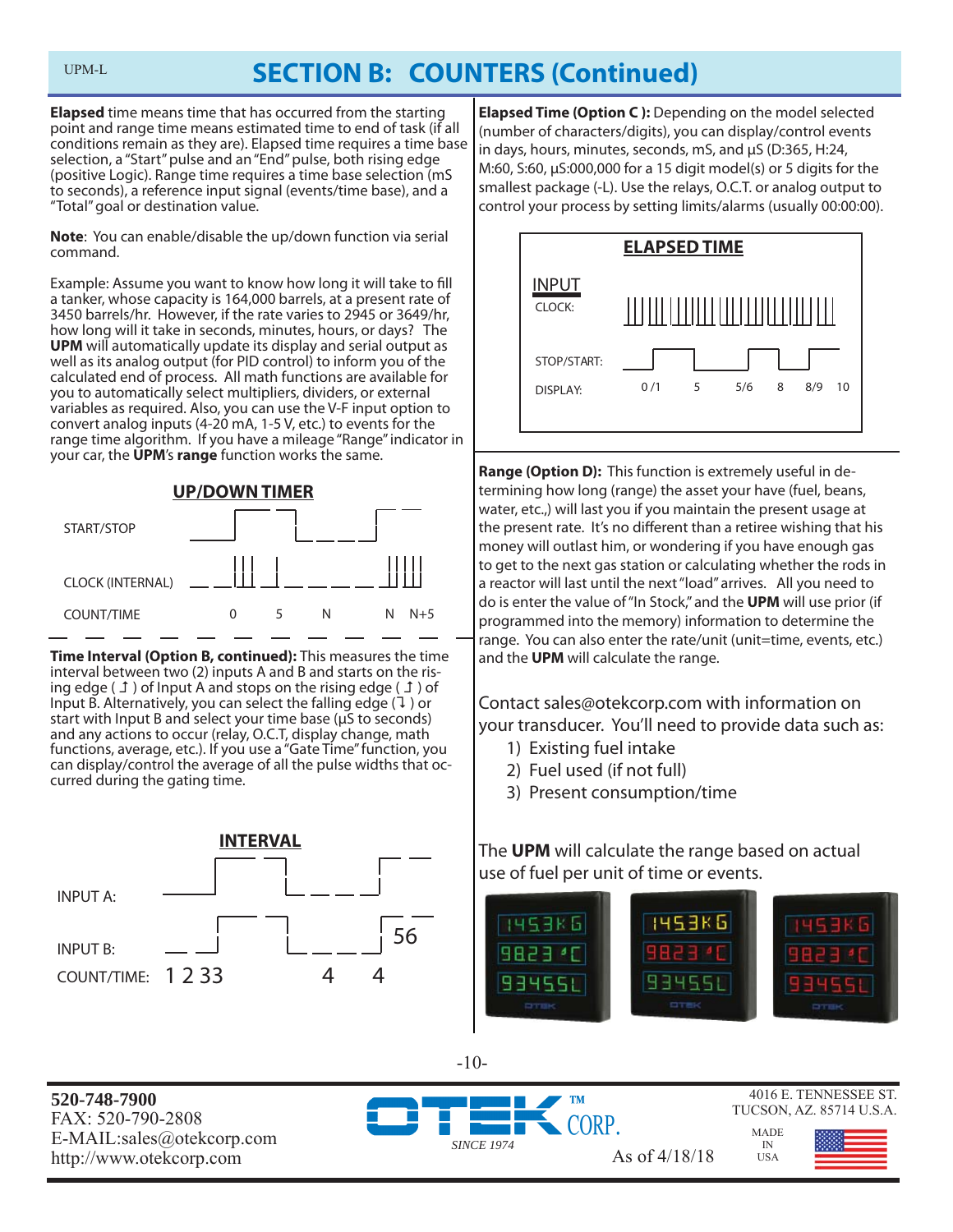**Elapsed** time means time that has occurred from the starting point and range time means estimated time to end of task (if all conditions remain as they are). Elapsed time requires a time base selection, a "Start" pulse and an "End" pulse, both rising edge (positive Logic). Range time requires a time base selection (mS to seconds), a reference input signal (events/time base), and a "Total" goal or destination value.

UPM-L

**Note**: You can enable/disable the up/down function via serial command.

Example: Assume you want to know how long it will take to fill a tanker, whose capacity is 164,000 barrels, at a present rate of 3450 barrels/hr. However, if the rate varies to 2945 or 3649/hr, how long will it take in seconds, minutes, hours, or days? The **UPM** will automatically update its display and serial output as well as its analog output (for PID control) to inform you of the calculated end of process. All math functions are available for you to automatically select multipliers, dividers, or external variables as required. Also, you can use the V-F input option to convert analog inputs (4-20 mA, 1-5 V, etc.) to events for the range time algorithm. If you have a mileage "Range" indicator in your car, the **UPM**'s **range** function works the same.





**Time Interval (Option B, continued):** This measures the time interval between two (2) inputs A and B and starts on the rising edge ( $\perp$ ) of Input A and stops on the rising edge ( $\perp$ ) of Input B. Alternatively, you can select the falling edge  $(1)$  or start with Input B and select your time base (μS to seconds) and any actions to occur (relay, O.C.T, display change, math functions, average, etc.). If you use a "Gate Time" function, you can display/control the average of all the pulse widths that occurred during the gating time.



**Elapsed Time (Option C ):** Depending on the model selected (number of characters/digits), you can display/control events in days, hours, minutes, seconds, mS, and μS (D:365, H:24, M:60, S:60, μS:000,000 for a 15 digit model(s) or 5 digits for the smallest package (-L). Use the relays, O.C.T. or analog output to control your process by setting limits/alarms (usually 00:00:00).



**Range (Option D):** This function is extremely useful in determining how long (range) the asset your have (fuel, beans, water, etc.,) will last you if you maintain the present usage at the present rate. It's no different than a retiree wishing that his money will outlast him, or wondering if you have enough gas to get to the next gas station or calculating whether the rods in a reactor will last until the next "load" arrives. All you need to do is enter the value of "In Stock," and the **UPM** will use prior (if programmed into the memory) information to determine the range. You can also enter the rate/unit (unit=time, events, etc.) and the **UPM** will calculate the range.

Contact sales@otekcorp.com with information on your transducer. You'll need to provide data such as:

- 1) Existing fuel intake
- 2) Fuel used (if not full)
- 3) Present consumption/time

The **UPM** will calculate the range based on actual use of fuel per unit of time or events.



4016 E. TENNESSEE ST. **520-748-7900** TUCSON, AZ. 85714 U.S.A. FAX: 520-790-2808 ORP MADE E-MAIL:sales@otekcorp.com *SINCE 1974* IN http://www.otekcorp.com As of 4/18/18 **USA** 

-10-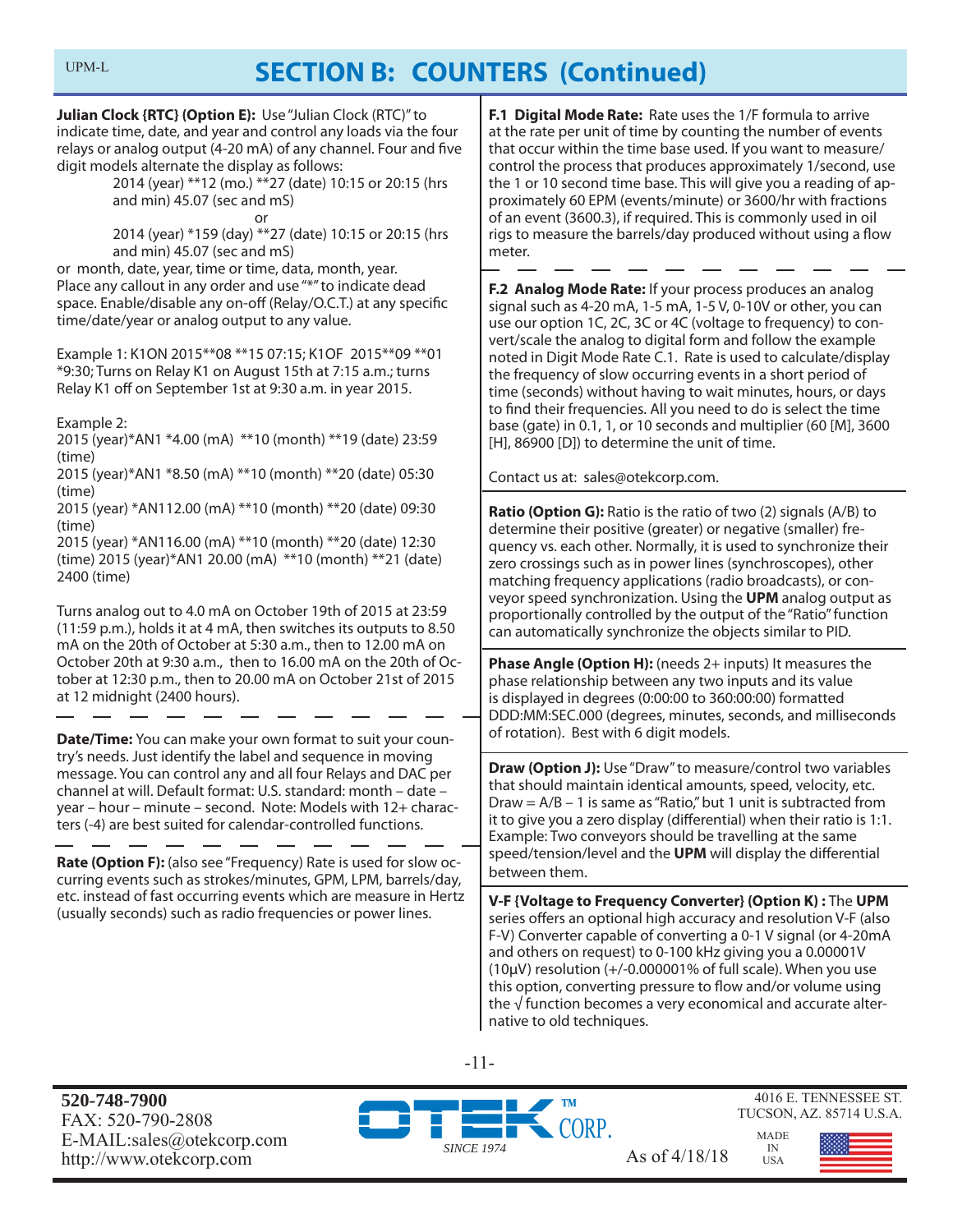**Julian Clock {RTC} (Option E):** Use "Julian Clock (RTC)" to indicate time, date, and year and control any loads via the four relays or analog output (4-20 mA) of any channel. Four and five digit models alternate the display as follows:

 2014 (year) \*\*12 (mo.) \*\*27 (date) 10:15 or 20:15 (hrs and min) 45.07 (sec and mS)

or

 2014 (year) \*159 (day) \*\*27 (date) 10:15 or 20:15 (hrs and min) 45.07 (sec and mS)

or month, date, year, time or time, data, month, year. Place any callout in any order and use "\*" to indicate dead space. Enable/disable any on-off (Relay/O.C.T.) at any specific time/date/year or analog output to any value.

Example 1: K1ON 2015\*\*08 \*\*15 07:15; K1OF 2015\*\*09 \*\*01 \*9:30; Turns on Relay K1 on August 15th at 7:15 a.m.; turns Relay K1 off on September 1st at 9:30 a.m. in year 2015.

Example 2:

2015 (year)\*AN1 \*4.00 (mA) \*\*10 (month) \*\*19 (date) 23:59 (time)

2015 (year)\*AN1 \*8.50 (mA) \*\*10 (month) \*\*20 (date) 05:30 (time)

2015 (year) \*AN112.00 (mA) \*\*10 (month) \*\*20 (date) 09:30 (time)

2015 (year) \*AN116.00 (mA) \*\*10 (month) \*\*20 (date) 12:30 (time) 2015 (year)\*AN1 20.00 (mA) \*\*10 (month) \*\*21 (date) 2400 (time)

Turns analog out to 4.0 mA on October 19th of 2015 at 23:59 (11:59 p.m.), holds it at 4 mA, then switches its outputs to 8.50 mA on the 20th of October at 5:30 a.m., then to 12.00 mA on October 20th at 9:30 a.m., then to 16.00 mA on the 20th of October at 12:30 p.m., then to 20.00 mA on October 21st of 2015 at 12 midnight (2400 hours).

**Date/Time:** You can make your own format to suit your country's needs. Just identify the label and sequence in moving message. You can control any and all four Relays and DAC per channel at will. Default format: U.S. standard: month – date – year – hour – minute – second. Note: Models with 12+ characters (-4) are best suited for calendar-controlled functions.

**Rate (Option F):** (also see "Frequency) Rate is used for slow occurring events such as strokes/minutes, GPM, LPM, barrels/day, etc. instead of fast occurring events which are measure in Hertz (usually seconds) such as radio frequencies or power lines.

**F.1 Digital Mode Rate:** Rate uses the 1/F formula to arrive at the rate per unit of time by counting the number of events that occur within the time base used. If you want to measure/ control the process that produces approximately 1/second, use the 1 or 10 second time base. This will give you a reading of approximately 60 EPM (events/minute) or 3600/hr with fractions of an event (3600.3), if required. This is commonly used in oil rigs to measure the barrels/day produced without using a flow meter.

**F.2 Analog Mode Rate:** If your process produces an analog signal such as 4-20 mA, 1-5 mA, 1-5 V, 0-10V or other, you can use our option 1C, 2C, 3C or 4C (voltage to frequency) to convert/scale the analog to digital form and follow the example noted in Digit Mode Rate C.1. Rate is used to calculate/display the frequency of slow occurring events in a short period of time (seconds) without having to wait minutes, hours, or days to find their frequencies. All you need to do is select the time base (gate) in 0.1, 1, or 10 seconds and multiplier (60 [M], 3600 [H], 86900 [D]) to determine the unit of time.

Contact us at: sales@otekcorp.com.

**Ratio (Option G):** Ratio is the ratio of two (2) signals (A/B) to determine their positive (greater) or negative (smaller) frequency vs. each other. Normally, it is used to synchronize their zero crossings such as in power lines (synchroscopes), other matching frequency applications (radio broadcasts), or conveyor speed synchronization. Using the **UPM** analog output as proportionally controlled by the output of the "Ratio" function can automatically synchronize the objects similar to PID.

**Phase Angle (Option H):** (needs 2+ inputs) It measures the phase relationship between any two inputs and its value is displayed in degrees (0:00:00 to 360:00:00) formatted DDD:MM:SEC.000 (degrees, minutes, seconds, and milliseconds of rotation). Best with 6 digit models.

**Draw (Option J):** Use "Draw" to measure/control two variables that should maintain identical amounts, speed, velocity, etc. Draw =  $A/B - 1$  is same as "Ratio," but 1 unit is subtracted from it to give you a zero display (differential) when their ratio is 1:1. Example: Two conveyors should be travelling at the same speed/tension/level and the **UPM** will display the differential between them.

**V-F {Voltage to Frequency Converter} (Option K) :** The **UPM** series offers an optional high accuracy and resolution V-F (also F-V) Converter capable of converting a 0-1 V signal (or 4-20mA and others on request) to 0-100 kHz giving you a 0.00001V (10μV) resolution (+/-0.000001% of full scale). When you use this option, converting pressure to flow and/or volume using the  $\sqrt{ }$  function becomes a very economical and accurate alternative to old techniques.

-11-

**520-748-7900** FAX: 520-790-2808 E-MAIL:sales@otekcorp.com http://www.otekcorp.com As of  $4/18/18$ 



4016 E. TENNESSEE ST. TUCSON, AZ. 85714 U.S.A.

> MADE IN USA

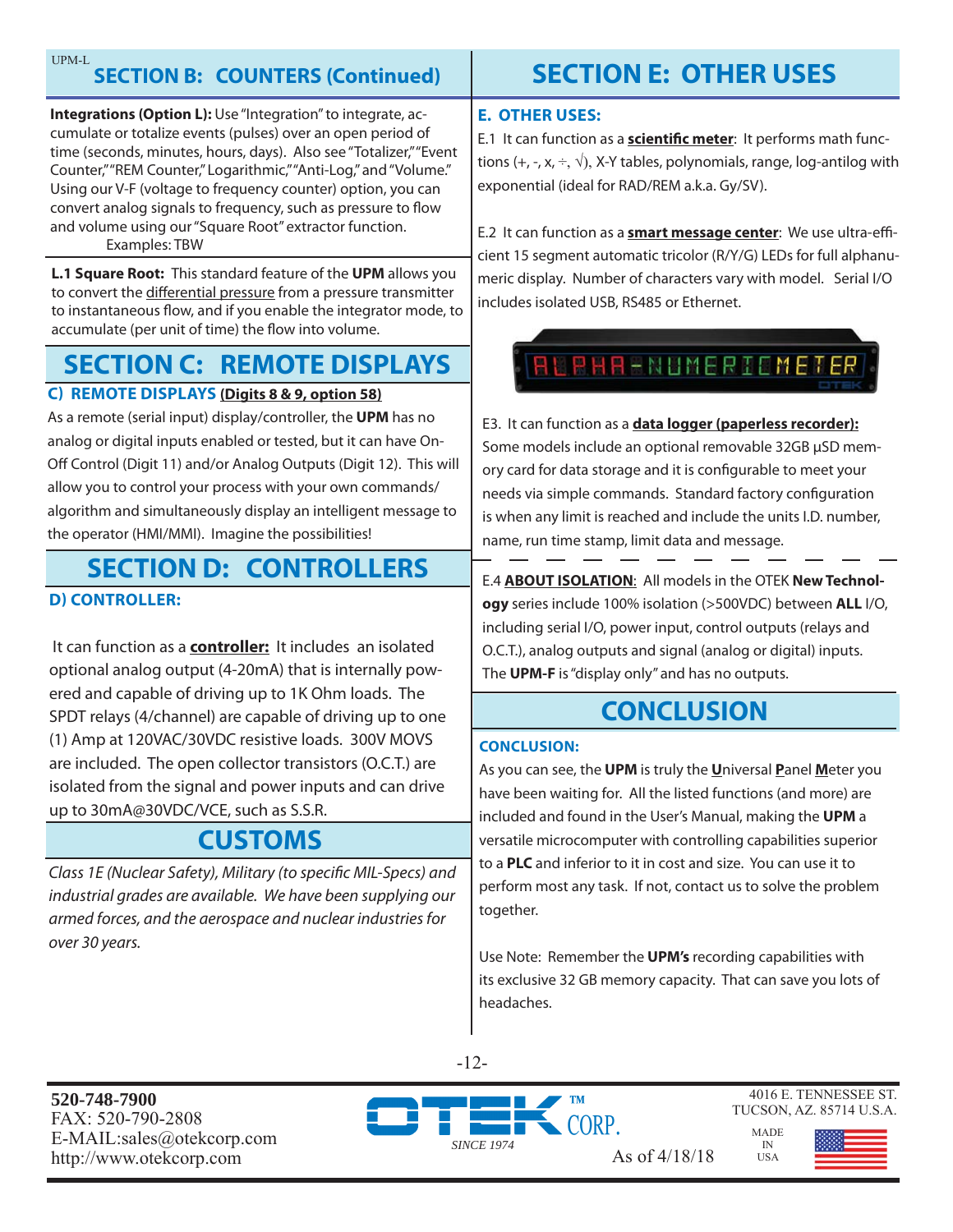**Integrations (Option L):** Use "Integration" to integrate, accumulate or totalize events (pulses) over an open period of time (seconds, minutes, hours, days). Also see "Totalizer," "Event Counter," "REM Counter," Logarithmic," "Anti-Log," and "Volume." Using our V-F (voltage to frequency counter) option, you can convert analog signals to frequency, such as pressure to flow and volume using our "Square Root" extractor function. Examples: TBW

**L.1 Square Root:** This standard feature of the **UPM** allows you to convert the differential pressure from a pressure transmitter to instantaneous flow, and if you enable the integrator mode, to accumulate (per unit of time) the flow into volume.

# **SECTION C: REMOTE DISPLAYS**

### **C) REMOTE DISPLAYS (Digits 8 & 9, option 58)**

As a remote (serial input) display/controller, the **UPM** has no analog or digital inputs enabled or tested, but it can have On-Off Control (Digit 11) and/or Analog Outputs (Digit 12). This will allow you to control your process with your own commands/ algorithm and simultaneously display an intelligent message to the operator (HMI/MMI). Imagine the possibilities!

# **SECTION D: CONTROLLERS**

### **D) CONTROLLER:**

 It can function as a **controller:** It includes an isolated optional analog output (4-20mA) that is internally powered and capable of driving up to 1K Ohm loads. The SPDT relays (4/channel) are capable of driving up to one (1) Amp at 120VAC/30VDC resistive loads. 300V MOVS are included. The open collector transistors (O.C.T.) are isolated from the signal and power inputs and can drive up to 30mA@30VDC/VCE, such as S.S.R.

### **CUSTOMS**

Class 1E (Nuclear Safety), Military (to specific MIL-Specs) and industrial grades are available. We have been supplying our armed forces, and the aerospace and nuclear industries for over 30 years.

# **SECTION E: OTHER USES**

### **E. OTHER USES:**

E.1 It can function as a **scientific meter**: It performs math functions (+, -, x,  $\div$ ,  $\sqrt{ }$ ), X-Y tables, polynomials, range, log-antilog with exponential (ideal for RAD/REM a.k.a. Gy/SV).

E.2 It can function as a **smart message center**: We use ultra-efficient 15 segment automatic tricolor (R/Y/G) LEDs for full alphanumeric display. Number of characters vary with model. Serial I/O includes isolated USB, RS485 or Ethernet.



E3. It can function as a **data logger (paperless recorder):** Some models include an optional removable 32GB μSD memory card for data storage and it is configurable to meet your needs via simple commands. Standard factory configuration is when any limit is reached and include the units I.D. number, name, run time stamp, limit data and message.

E.4 **ABOUT ISOLATION**: All models in the OTEK **New Technology** series include 100% isolation (>500VDC) between **ALL** I/O, including serial I/O, power input, control outputs (relays and O.C.T.), analog outputs and signal (analog or digital) inputs. The **UPM-F** is "display only" and has no outputs.

## **CONCLUSION**

#### **CONCLUSION:**

As you can see, the **UPM** is truly the **U**niversal **P**anel **M**eter you have been waiting for. All the listed functions (and more) are included and found in the User's Manual, making the **UPM** a versatile microcomputer with controlling capabilities superior to a **PLC** and inferior to it in cost and size. You can use it to perform most any task. If not, contact us to solve the problem together.

Use Note: Remember the **UPM's** recording capabilities with its exclusive 32 GB memory capacity. That can save you lots of headaches.

-12-

**520-748-7900** FAX: 520-790-2808 E-MAIL:sales@otekcorp.com



4016 E. TENNESSEE ST. TUCSON, AZ. 85714 U.S.A.

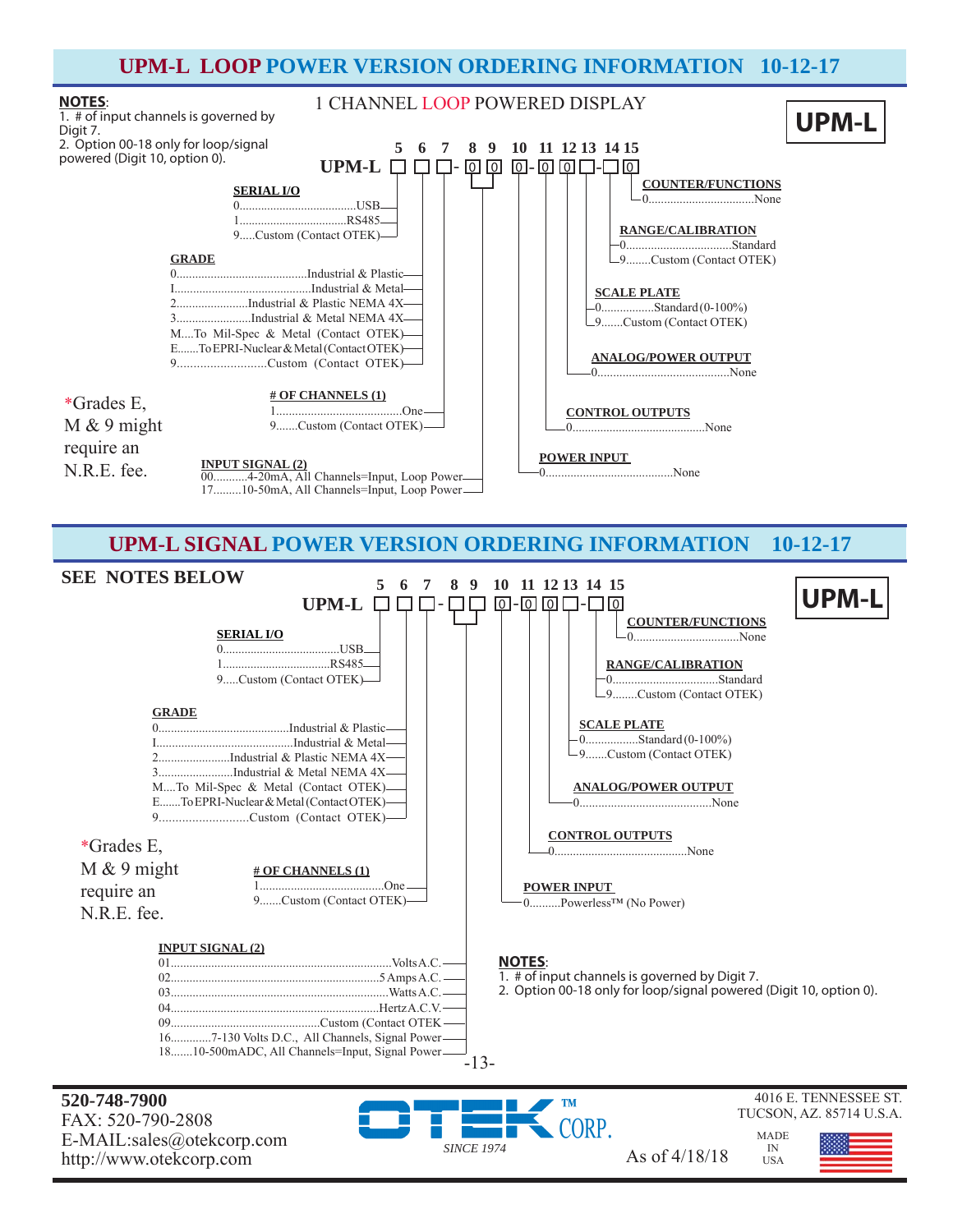

**520-748-7900** FAX: 520-790-2808 E-MAIL:sales@otekcorp.com http://www.otekcorp.com As of 4/18/18

CORP. *SINCE 1974*

4016 E. TENNESSEE ST. TUCSON, AZ. 85714 U.S.A.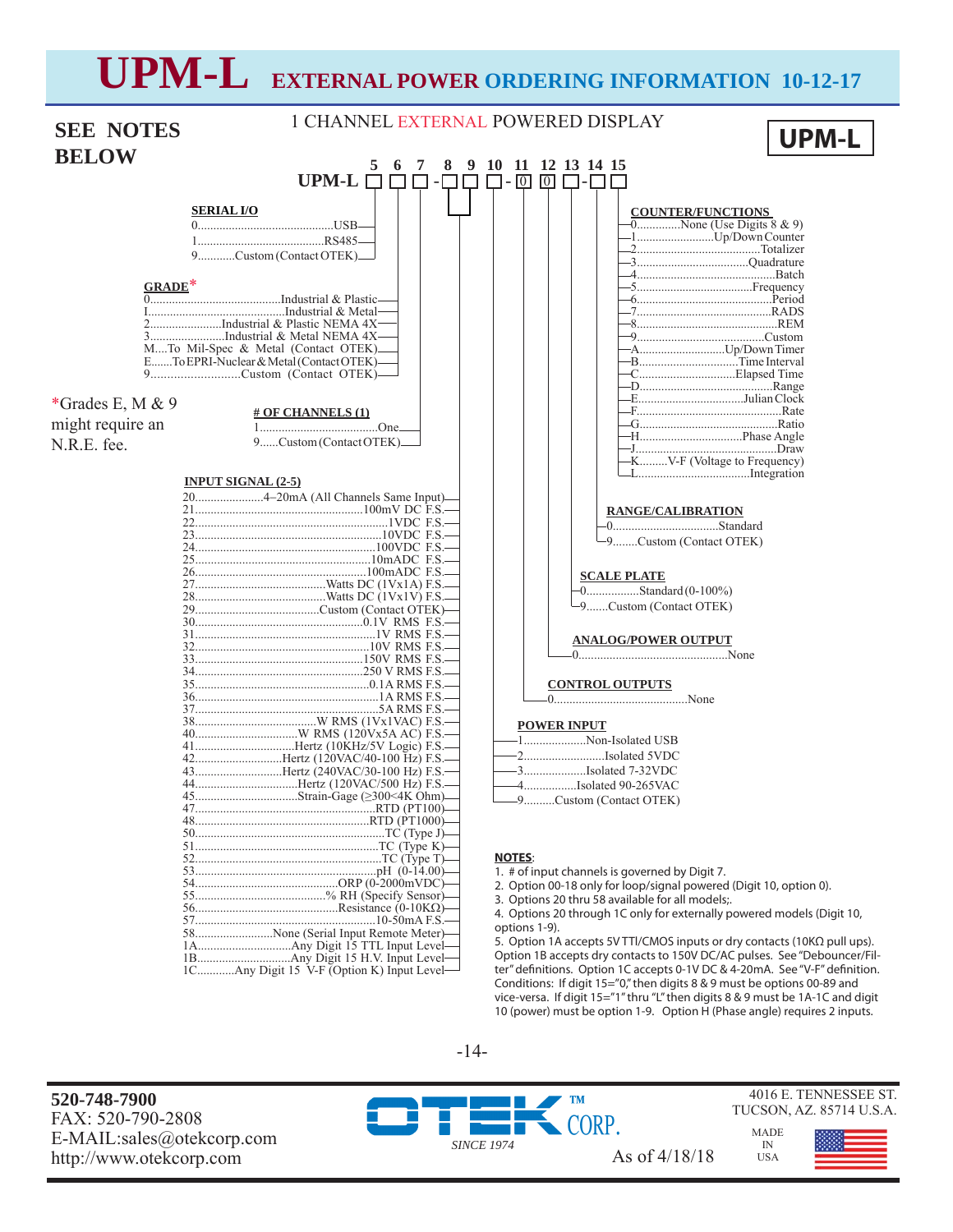# **UPM-L EXTERNAL POWER ORDERING INFORMATION 10-12-17**

|                  |                                                                                 | 1 CHANNEL EXTERNAL POWERED DISPLAY                                                        |  |
|------------------|---------------------------------------------------------------------------------|-------------------------------------------------------------------------------------------|--|
| <b>SEE NOTES</b> | <b>UPM-L</b>                                                                    |                                                                                           |  |
| <b>BELOW</b>     |                                                                                 |                                                                                           |  |
|                  | 8<br>6<br>- 7                                                                   | 9 10 11 12 13 14 15                                                                       |  |
|                  | UPM-L $\Box$<br>П<br>$-\Gamma$                                                  | $\Box$ - $\Box$<br>$\boxed{0}$<br>$\Box$ - $\Box$                                         |  |
|                  | <b>SERIAL I/O</b>                                                               | <b>COUNTER/FUNCTIONS</b>                                                                  |  |
|                  |                                                                                 | $\overline{0$ None (Use Digits 8 & 9)                                                     |  |
|                  |                                                                                 | -1Up/Down Counter                                                                         |  |
|                  | 9Custom (Contact OTEK)_                                                         |                                                                                           |  |
|                  |                                                                                 |                                                                                           |  |
| GRADE*           |                                                                                 |                                                                                           |  |
|                  |                                                                                 |                                                                                           |  |
|                  | 2Industrial & Plastic NEMA 4X                                                   |                                                                                           |  |
|                  | 3Industrial & Metal NEMA 4X-                                                    |                                                                                           |  |
|                  | MTo Mil-Spec & Metal (Contact OTEK)<br>ETo EPRI-Nuclear & Metal (Contact OTEK)- | -AUp/Down Timer<br>-BTime Interval                                                        |  |
|                  |                                                                                 |                                                                                           |  |
|                  |                                                                                 |                                                                                           |  |
| *Grades E, M & 9 | <b># OF CHANNELS (1)</b>                                                        | -EJulian Clock                                                                            |  |
| might require an |                                                                                 |                                                                                           |  |
| N.R.E. fee.      | 9Custom (Contact OTEK)                                                          |                                                                                           |  |
|                  |                                                                                 | -KV-F (Voltage to Frequency)                                                              |  |
|                  | <b>INPUT SIGNAL (2-5)</b>                                                       |                                                                                           |  |
|                  | 204-20mA (All Channels Same Input)-                                             |                                                                                           |  |
|                  |                                                                                 | <b>RANGE/CALIBRATION</b>                                                                  |  |
|                  |                                                                                 |                                                                                           |  |
|                  |                                                                                 | -9Custom (Contact OTEK)                                                                   |  |
|                  |                                                                                 |                                                                                           |  |
|                  |                                                                                 | <b>SCALE PLATE</b>                                                                        |  |
|                  |                                                                                 | $-0$ Standard (0-100%)                                                                    |  |
|                  |                                                                                 | -9Custom (Contact OTEK)                                                                   |  |
|                  |                                                                                 |                                                                                           |  |
|                  |                                                                                 | <b>ANALOG/POWER OUTPUT</b>                                                                |  |
|                  |                                                                                 |                                                                                           |  |
|                  |                                                                                 | <b>CONTROL OUTPUTS</b>                                                                    |  |
|                  |                                                                                 |                                                                                           |  |
|                  |                                                                                 |                                                                                           |  |
|                  |                                                                                 | <b>POWER INPUT</b>                                                                        |  |
|                  |                                                                                 | 1Non-Isolated USB<br>-2Isolated 5VDC                                                      |  |
|                  | 42Hertz (120VAC/40-100 Hz) F.S.-<br>43Hertz (240VAC/30-100 Hz) F.S.-            | -3Isolated 7-32VDC                                                                        |  |
|                  | 44Hertz (120VAC/500 Hz) F.S.-                                                   | -4Isolated 90-265VAC                                                                      |  |
|                  |                                                                                 | -9Custom (Contact OTEK)                                                                   |  |
|                  |                                                                                 |                                                                                           |  |
|                  |                                                                                 |                                                                                           |  |
|                  |                                                                                 | <b>NOTES:</b>                                                                             |  |
|                  |                                                                                 | 1. # of input channels is governed by Digit 7.                                            |  |
|                  |                                                                                 | 2. Option 00-18 only for loop/signal powered (Digit 10, option 0).                        |  |
|                  |                                                                                 | 3. Options 20 thru 58 available for all models;.                                          |  |
|                  |                                                                                 | 4. Options 20 through 1C only for externally powered models (Digit 10,                    |  |
|                  | 58None (Serial Input Remote Meter)-                                             | options 1-9).<br>5. Option 1A accepts 5V TTI/CMOS inputs or dry contacts (10KΩ pull ups). |  |
|                  |                                                                                 | Option 1B accepts dry contacts to 150V DC/AC pulses. See "Debouncer/Fil-                  |  |

1C............Any Digit 15 V-F (Option K) Input Level

-14-

**520-748-7900** FAX: 520-790-2808 E-MAIL:sales@otekcorp.com http://www.otekcorp.com As of 4/18/18

**TM** CORP. *SINCE 1974*

4016 E. TENNESSEE ST. TUCSON, AZ. 85714 U.S.A.

> MADE IN USA

ter" definitions. Option 1C accepts 0-1V DC & 4-20mA. See "V-F" definition. Conditions: If digit 15="0," then digits 8 & 9 must be options 00-89 and vice-versa. If digit 15="1" thru "L" then digits 8 & 9 must be 1A-1C and digit 10 (power) must be option 1-9. Option H (Phase angle) requires 2 inputs.